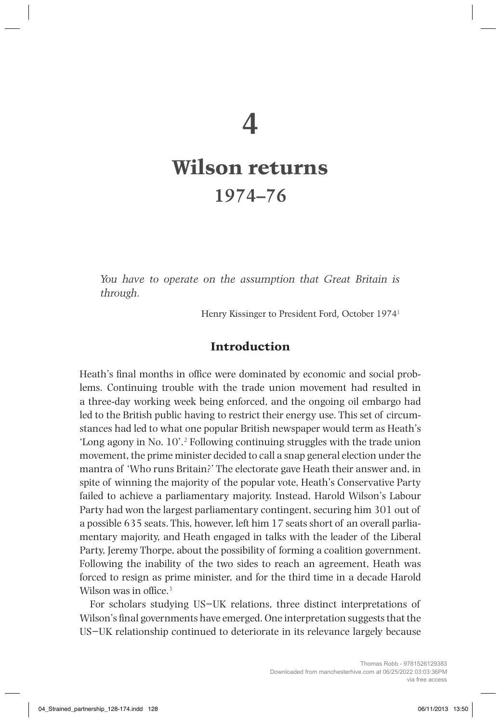# Wilson returns **1974–76**

*You have to operate on the assumption that Great Britain is through.*

Henry Kissinger to President Ford, October 19741

## **Introduction**

Heath's final months in office were dominated by economic and social problems. Continuing trouble with the trade union movement had resulted in a three-day working week being enforced, and the ongoing oil embargo had led to the British public having to restrict their energy use. This set of circumstances had led to what one popular British newspaper would term as Heath's 'Long agony in No. 10'.2 Following continuing struggles with the trade union movement, the prime minister decided to call a snap general election under the mantra of 'Who runs Britain?' The electorate gave Heath their answer and, in spite of winning the majority of the popular vote, Heath's Conservative Party failed to achieve a parliamentary majority. Instead, Harold Wilson's Labour Party had won the largest parliamentary contingent, securing him 301 out of a possible 635 seats. This, however, left him 17 seats short of an overall parliamentary majority, and Heath engaged in talks with the leader of the Liberal Party, Jeremy Thorpe, about the possibility of forming a coalition government. Following the inability of the two sides to reach an agreement, Heath was forced to resign as prime minister, and for the third time in a decade Harold Wilson was in office.<sup>3</sup>

For scholars studying US−UK relations, three distinct interpretations of Wilson's final governments have emerged. One interpretation suggests that the US−UK relationship continued to deteriorate in its relevance largely because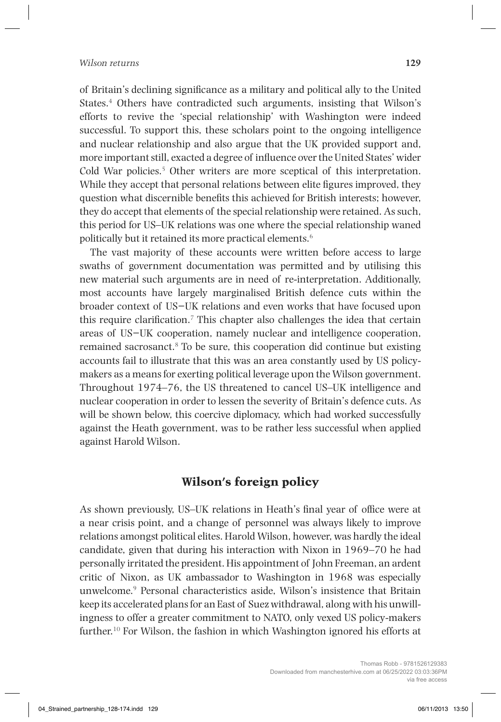of Britain's declining significance as a military and political ally to the United States.<sup>4</sup> Others have contradicted such arguments, insisting that Wilson's efforts to revive the 'special relationship' with Washington were indeed successful. To support this, these scholars point to the ongoing intelligence and nuclear relationship and also argue that the UK provided support and, more important still, exacted a degree of influence over the United States' wider Cold War policies.<sup>5</sup> Other writers are more sceptical of this interpretation. While they accept that personal relations between elite figures improved, they question what discernible benefits this achieved for British interests; however, they do accept that elements of the special relationship were retained. As such, this period for US–UK relations was one where the special relationship waned politically but it retained its more practical elements.<sup>6</sup>

The vast majority of these accounts were written before access to large swaths of government documentation was permitted and by utilising this new material such arguments are in need of re-interpretation. Additionally, most accounts have largely marginalised British defence cuts within the broader context of US−UK relations and even works that have focused upon this require clarification.7 This chapter also challenges the idea that certain areas of US−UK cooperation, namely nuclear and intelligence cooperation, remained sacrosanct.8 To be sure, this cooperation did continue but existing accounts fail to illustrate that this was an area constantly used by US policymakers as a means for exerting political leverage upon the Wilson government. Throughout 1974–76, the US threatened to cancel US–UK intelligence and nuclear cooperation in order to lessen the severity of Britain's defence cuts. As will be shown below, this coercive diplomacy, which had worked successfully against the Heath government, was to be rather less successful when applied against Harold Wilson.

## Wilson's foreign policy

As shown previously, US–UK relations in Heath's final year of office were at a near crisis point, and a change of personnel was always likely to improve relations amongst political elites. Harold Wilson, however, was hardly the ideal candidate, given that during his interaction with Nixon in 1969–70 he had personally irritated the president. His appointment of John Freeman, an ardent critic of Nixon, as UK ambassador to Washington in 1968 was especially unwelcome.9 Personal characteristics aside, Wilson's insistence that Britain keep its accelerated plans for an East of Suez withdrawal, along with his unwillingness to offer a greater commitment to NATO, only vexed US policy-makers further.<sup>10</sup> For Wilson, the fashion in which Washington ignored his efforts at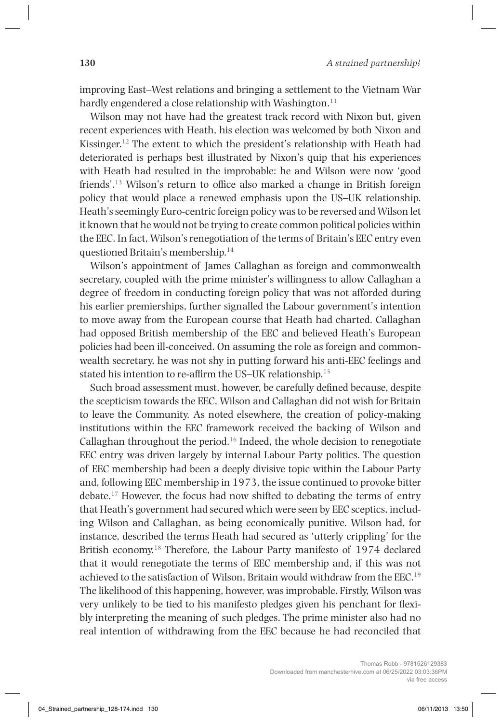improving East–West relations and bringing a settlement to the Vietnam War hardly engendered a close relationship with Washington.<sup>11</sup>

Wilson may not have had the greatest track record with Nixon but, given recent experiences with Heath, his election was welcomed by both Nixon and Kissinger.12 The extent to which the president's relationship with Heath had deteriorated is perhaps best illustrated by Nixon's quip that his experiences with Heath had resulted in the improbable: he and Wilson were now 'good friends'.13 Wilson's return to office also marked a change in British foreign policy that would place a renewed emphasis upon the US–UK relationship. Heath's seemingly Euro-centric foreign policy was to be reversed and Wilson let it known that he would not be trying to create common political policies within the EEC. In fact, Wilson's renegotiation of the terms of Britain's EEC entry even questioned Britain's membership.14

Wilson's appointment of James Callaghan as foreign and commonwealth secretary, coupled with the prime minister's willingness to allow Callaghan a degree of freedom in conducting foreign policy that was not afforded during his earlier premierships, further signalled the Labour government's intention to move away from the European course that Heath had charted. Callaghan had opposed British membership of the EEC and believed Heath's European policies had been ill-conceived. On assuming the role as foreign and commonwealth secretary, he was not shy in putting forward his anti-EEC feelings and stated his intention to re-affirm the US–UK relationship.15

Such broad assessment must, however, be carefully defined because, despite the scepticism towards the EEC, Wilson and Callaghan did not wish for Britain to leave the Community. As noted elsewhere, the creation of policy-making institutions within the EEC framework received the backing of Wilson and Callaghan throughout the period.16 Indeed, the whole decision to renegotiate EEC entry was driven largely by internal Labour Party politics. The question of EEC membership had been a deeply divisive topic within the Labour Party and, following EEC membership in 1973, the issue continued to provoke bitter debate.17 However, the focus had now shifted to debating the terms of entry that Heath's government had secured which were seen by EEC sceptics, including Wilson and Callaghan, as being economically punitive. Wilson had, for instance, described the terms Heath had secured as 'utterly crippling' for the British economy.<sup>18</sup> Therefore, the Labour Party manifesto of 1974 declared that it would renegotiate the terms of EEC membership and, if this was not achieved to the satisfaction of Wilson, Britain would withdraw from the EEC.19 The likelihood of this happening, however, was improbable. Firstly, Wilson was very unlikely to be tied to his manifesto pledges given his penchant for flexibly interpreting the meaning of such pledges. The prime minister also had no real intention of withdrawing from the EEC because he had reconciled that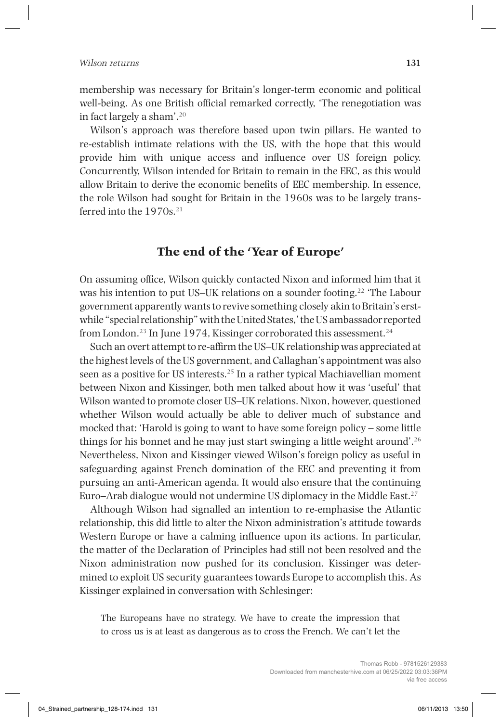membership was necessary for Britain's longer-term economic and political well-being. As one British official remarked correctly, 'The renegotiation was in fact largely a sham'.20

Wilson's approach was therefore based upon twin pillars. He wanted to re-establish intimate relations with the US, with the hope that this would provide him with unique access and influence over US foreign policy. Concurrently, Wilson intended for Britain to remain in the EEC, as this would allow Britain to derive the economic benefits of EEC membership. In essence, the role Wilson had sought for Britain in the 1960s was to be largely transferred into the 1970s.<sup>21</sup>

## The end of the 'Year of Europe'

On assuming office, Wilson quickly contacted Nixon and informed him that it was his intention to put US–UK relations on a sounder footing.<sup>22</sup> 'The Labour' government apparently wants to revive something closely akin to Britain's erstwhile "special relationship" with the United States,' the US ambassador reported from London.<sup>23</sup> In June 1974, Kissinger corroborated this assessment.<sup>24</sup>

Such an overt attempt to re-affirm the US–UK relationship was appreciated at the highest levels of the US government, and Callaghan's appointment was also seen as a positive for US interests.<sup>25</sup> In a rather typical Machiavellian moment between Nixon and Kissinger, both men talked about how it was 'useful' that Wilson wanted to promote closer US–UK relations. Nixon, however, questioned whether Wilson would actually be able to deliver much of substance and mocked that: 'Harold is going to want to have some foreign policy – some little things for his bonnet and he may just start swinging a little weight around'.26 Nevertheless, Nixon and Kissinger viewed Wilson's foreign policy as useful in safeguarding against French domination of the EEC and preventing it from pursuing an anti-American agenda. It would also ensure that the continuing Euro–Arab dialogue would not undermine US diplomacy in the Middle East.27

Although Wilson had signalled an intention to re-emphasise the Atlantic relationship, this did little to alter the Nixon administration's attitude towards Western Europe or have a calming influence upon its actions. In particular, the matter of the Declaration of Principles had still not been resolved and the Nixon administration now pushed for its conclusion. Kissinger was determined to exploit US security guarantees towards Europe to accomplish this. As Kissinger explained in conversation with Schlesinger:

The Europeans have no strategy. We have to create the impression that to cross us is at least as dangerous as to cross the French. We can't let the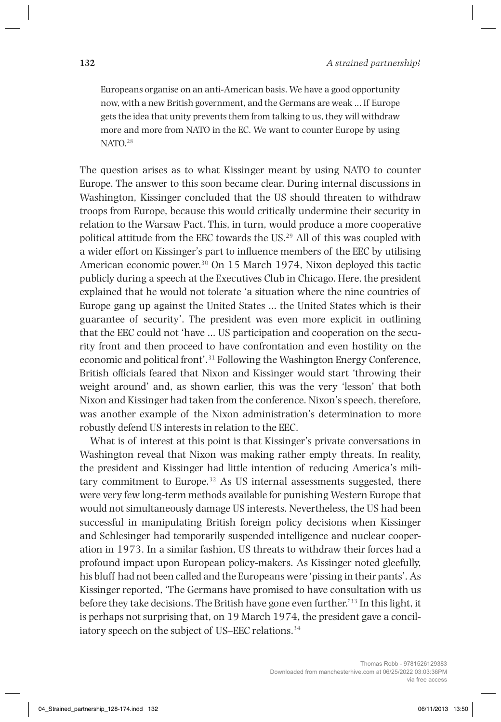Europeans organise on an anti-American basis. We have a good opportunity now, with a new British government, and the Germans are weak ... If Europe gets the idea that unity prevents them from talking to us, they will withdraw more and more from NATO in the EC. We want to counter Europe by using NATO.28

The question arises as to what Kissinger meant by using NATO to counter Europe. The answer to this soon became clear. During internal discussions in Washington, Kissinger concluded that the US should threaten to withdraw troops from Europe, because this would critically undermine their security in relation to the Warsaw Pact. This, in turn, would produce a more cooperative political attitude from the EEC towards the US.29 All of this was coupled with a wider effort on Kissinger's part to influence members of the EEC by utilising American economic power.30 On 15 March 1974, Nixon deployed this tactic publicly during a speech at the Executives Club in Chicago. Here, the president explained that he would not tolerate 'a situation where the nine countries of Europe gang up against the United States ... the United States which is their guarantee of security'. The president was even more explicit in outlining that the EEC could not 'have … US participation and cooperation on the security front and then proceed to have confrontation and even hostility on the economic and political front'.31 Following the Washington Energy Conference, British officials feared that Nixon and Kissinger would start 'throwing their weight around' and, as shown earlier, this was the very 'lesson' that both Nixon and Kissinger had taken from the conference. Nixon's speech, therefore, was another example of the Nixon administration's determination to more robustly defend US interests in relation to the EEC.

What is of interest at this point is that Kissinger's private conversations in Washington reveal that Nixon was making rather empty threats. In reality, the president and Kissinger had little intention of reducing America's military commitment to Europe.32 As US internal assessments suggested, there were very few long-term methods available for punishing Western Europe that would not simultaneously damage US interests. Nevertheless, the US had been successful in manipulating British foreign policy decisions when Kissinger and Schlesinger had temporarily suspended intelligence and nuclear cooperation in 1973. In a similar fashion, US threats to withdraw their forces had a profound impact upon European policy-makers. As Kissinger noted gleefully, his bluff had not been called and the Europeans were 'pissing in their pants'. As Kissinger reported, 'The Germans have promised to have consultation with us before they take decisions. The British have gone even further.'33 In this light, it is perhaps not surprising that, on 19 March 1974, the president gave a conciliatory speech on the subject of US–EEC relations.<sup>34</sup>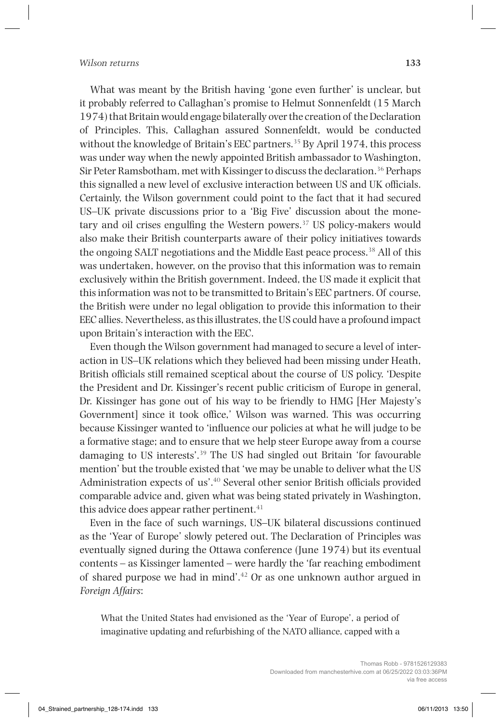What was meant by the British having 'gone even further' is unclear, but it probably referred to Callaghan's promise to Helmut Sonnenfeldt (15 March 1974) that Britain would engage bilaterally over the creation of the Declaration of Principles. This, Callaghan assured Sonnenfeldt, would be conducted without the knowledge of Britain's EEC partners.<sup>35</sup> By April 1974, this process was under way when the newly appointed British ambassador to Washington, Sir Peter Ramsbotham, met with Kissinger to discuss the declaration.36 Perhaps this signalled a new level of exclusive interaction between US and UK officials. Certainly, the Wilson government could point to the fact that it had secured US–UK private discussions prior to a 'Big Five' discussion about the monetary and oil crises engulfing the Western powers.37 US policy-makers would also make their British counterparts aware of their policy initiatives towards the ongoing SALT negotiations and the Middle East peace process.38 All of this was undertaken, however, on the proviso that this information was to remain exclusively within the British government. Indeed, the US made it explicit that this information was not to be transmitted to Britain's EEC partners. Of course, the British were under no legal obligation to provide this information to their EEC allies. Nevertheless, as this illustrates, the US could have a profound impact upon Britain's interaction with the EEC.

Even though the Wilson government had managed to secure a level of interaction in US–UK relations which they believed had been missing under Heath, British officials still remained sceptical about the course of US policy. 'Despite the President and Dr. Kissinger's recent public criticism of Europe in general, Dr. Kissinger has gone out of his way to be friendly to HMG [Her Majesty's Government] since it took office,' Wilson was warned. This was occurring because Kissinger wanted to 'influence our policies at what he will judge to be a formative stage; and to ensure that we help steer Europe away from a course damaging to US interests'.39 The US had singled out Britain 'for favourable mention' but the trouble existed that 'we may be unable to deliver what the US Administration expects of us'.<sup>40</sup> Several other senior British officials provided comparable advice and, given what was being stated privately in Washington, this advice does appear rather pertinent. $41$ 

Even in the face of such warnings, US–UK bilateral discussions continued as the 'Year of Europe' slowly petered out. The Declaration of Principles was eventually signed during the Ottawa conference (June 1974) but its eventual contents – as Kissinger lamented – were hardly the 'far reaching embodiment of shared purpose we had in mind'.42 Or as one unknown author argued in *Foreign Affairs*:

What the United States had envisioned as the 'Year of Europe', a period of imaginative updating and refurbishing of the NATO alliance, capped with a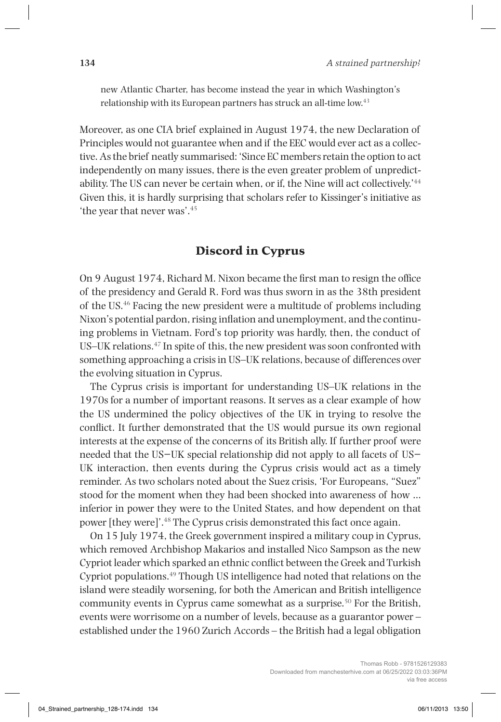new Atlantic Charter, has become instead the year in which Washington's relationship with its European partners has struck an all-time low.<sup>43</sup>

Moreover, as one CIA brief explained in August 1974, the new Declaration of Principles would not guarantee when and if the EEC would ever act as a collective. As the brief neatly summarised: 'Since EC members retain the option to act independently on many issues, there is the even greater problem of unpredictability. The US can never be certain when, or if, the Nine will act collectively.'44 Given this, it is hardly surprising that scholars refer to Kissinger's initiative as 'the year that never was'.45

# Discord in Cyprus

On 9 August 1974, Richard M. Nixon became the first man to resign the office of the presidency and Gerald R. Ford was thus sworn in as the 38th president of the US.46 Facing the new president were a multitude of problems including Nixon's potential pardon, rising inflation and unemployment, and the continuing problems in Vietnam. Ford's top priority was hardly, then, the conduct of US–UK relations.47 In spite of this, the new president was soon confronted with something approaching a crisis in US–UK relations, because of differences over the evolving situation in Cyprus.

The Cyprus crisis is important for understanding US–UK relations in the 1970s for a number of important reasons. It serves as a clear example of how the US undermined the policy objectives of the UK in trying to resolve the conflict. It further demonstrated that the US would pursue its own regional interests at the expense of the concerns of its British ally. If further proof were needed that the US−UK special relationship did not apply to all facets of US− UK interaction, then events during the Cyprus crisis would act as a timely reminder. As two scholars noted about the Suez crisis, 'For Europeans, "Suez" stood for the moment when they had been shocked into awareness of how … inferior in power they were to the United States, and how dependent on that power [they were]'.48 The Cyprus crisis demonstrated this fact once again.

On 15 July 1974, the Greek government inspired a military coup in Cyprus, which removed Archbishop Makarios and installed Nico Sampson as the new Cypriot leader which sparked an ethnic conflict between the Greek and Turkish Cypriot populations.49 Though US intelligence had noted that relations on the island were steadily worsening, for both the American and British intelligence community events in Cyprus came somewhat as a surprise.<sup>50</sup> For the British, events were worrisome on a number of levels, because as a guarantor power – established under the 1960 Zurich Accords – the British had a legal obligation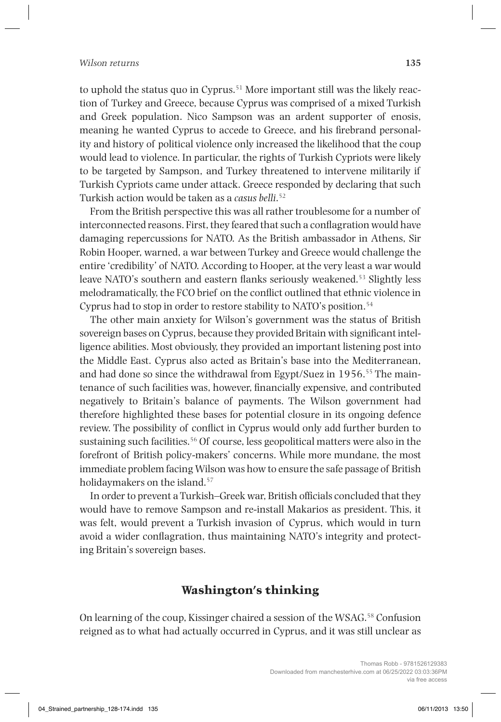to uphold the status quo in Cyprus.<sup>51</sup> More important still was the likely reaction of Turkey and Greece, because Cyprus was comprised of a mixed Turkish and Greek population. Nico Sampson was an ardent supporter of enosis, meaning he wanted Cyprus to accede to Greece, and his firebrand personality and history of political violence only increased the likelihood that the coup would lead to violence. In particular, the rights of Turkish Cypriots were likely to be targeted by Sampson, and Turkey threatened to intervene militarily if Turkish Cypriots came under attack. Greece responded by declaring that such Turkish action would be taken as a *casus belli*. 52

From the British perspective this was all rather troublesome for a number of interconnected reasons. First, they feared that such a conflagration would have damaging repercussions for NATO. As the British ambassador in Athens, Sir Robin Hooper, warned, a war between Turkey and Greece would challenge the entire 'credibility' of NATO. According to Hooper, at the very least a war would leave NATO's southern and eastern flanks seriously weakened.<sup>53</sup> Slightly less melodramatically, the FCO brief on the conflict outlined that ethnic violence in Cyprus had to stop in order to restore stability to NATO's position.<sup>54</sup>

The other main anxiety for Wilson's government was the status of British sovereign bases on Cyprus, because they provided Britain with significant intelligence abilities. Most obviously, they provided an important listening post into the Middle East. Cyprus also acted as Britain's base into the Mediterranean, and had done so since the withdrawal from Egypt/Suez in 1956.<sup>55</sup> The maintenance of such facilities was, however, financially expensive, and contributed negatively to Britain's balance of payments. The Wilson government had therefore highlighted these bases for potential closure in its ongoing defence review. The possibility of conflict in Cyprus would only add further burden to sustaining such facilities.56 Of course, less geopolitical matters were also in the forefront of British policy-makers' concerns. While more mundane, the most immediate problem facing Wilson was how to ensure the safe passage of British holidaymakers on the island.<sup>57</sup>

In order to prevent a Turkish–Greek war, British officials concluded that they would have to remove Sampson and re-install Makarios as president. This, it was felt, would prevent a Turkish invasion of Cyprus, which would in turn avoid a wider conflagration, thus maintaining NATO's integrity and protecting Britain's sovereign bases.

#### Washington's thinking

On learning of the coup, Kissinger chaired a session of the WSAG.<sup>58</sup> Confusion reigned as to what had actually occurred in Cyprus, and it was still unclear as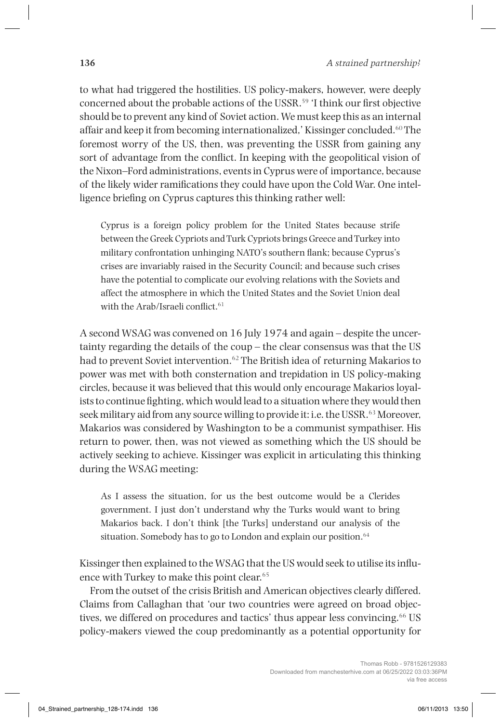to what had triggered the hostilities. US policy-makers, however, were deeply concerned about the probable actions of the USSR.59 'I think our first objective should be to prevent any kind of Soviet action. We must keep this as an internal affair and keep it from becoming internationalized,' Kissinger concluded.<sup>60</sup> The foremost worry of the US, then, was preventing the USSR from gaining any sort of advantage from the conflict. In keeping with the geopolitical vision of the Nixon–Ford administrations, events in Cyprus were of importance, because of the likely wider ramifications they could have upon the Cold War. One intelligence briefing on Cyprus captures this thinking rather well:

Cyprus is a foreign policy problem for the United States because strife between the Greek Cypriots and Turk Cypriots brings Greece and Turkey into military confrontation unhinging NATO's southern flank; because Cyprus's crises are invariably raised in the Security Council; and because such crises have the potential to complicate our evolving relations with the Soviets and affect the atmosphere in which the United States and the Soviet Union deal with the Arab/Israeli conflict  $61$ 

A second WSAG was convened on 16 July 1974 and again – despite the uncertainty regarding the details of the coup – the clear consensus was that the US had to prevent Soviet intervention.<sup>62</sup> The British idea of returning Makarios to power was met with both consternation and trepidation in US policy-making circles, because it was believed that this would only encourage Makarios loyalists to continue fighting, which would lead to a situation where they would then seek military aid from any source willing to provide it; i.e. the USSR.<sup>63</sup> Moreover, Makarios was considered by Washington to be a communist sympathiser. His return to power, then, was not viewed as something which the US should be actively seeking to achieve. Kissinger was explicit in articulating this thinking during the WSAG meeting:

As I assess the situation, for us the best outcome would be a Clerides government. I just don't understand why the Turks would want to bring Makarios back. I don't think [the Turks] understand our analysis of the situation. Somebody has to go to London and explain our position.<sup>64</sup>

Kissinger then explained to the WSAG that the US would seek to utilise its influence with Turkey to make this point clear.<sup>65</sup>

From the outset of the crisis British and American objectives clearly differed. Claims from Callaghan that 'our two countries were agreed on broad objectives, we differed on procedures and tactics' thus appear less convincing.<sup>66</sup> US policy-makers viewed the coup predominantly as a potential opportunity for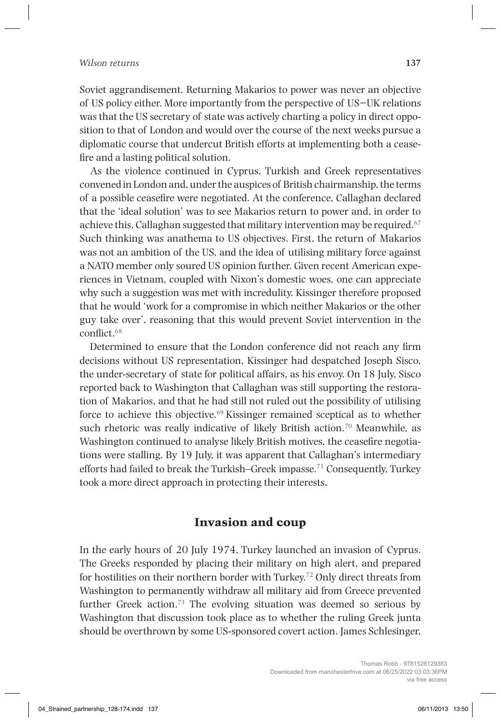Soviet aggrandisement. Returning Makarios to power was never an objective of US policy either. More importantly from the perspective of US−UK relations was that the US secretary of state was actively charting a policy in direct opposition to that of London and would over the course of the next weeks pursue a diplomatic course that undercut British efforts at implementing both a ceasefire and a lasting political solution.

As the violence continued in Cyprus, Turkish and Greek representatives convened in London and, under the auspices of British chairmanship, the terms of a possible ceasefire were negotiated. At the conference, Callaghan declared that the 'ideal solution' was to see Makarios return to power and, in order to achieve this, Callaghan suggested that military intervention may be required.<sup>67</sup> Such thinking was anathema to US objectives. First, the return of Makarios was not an ambition of the US, and the idea of utilising military force against a NATO member only soured US opinion further. Given recent American experiences in Vietnam, coupled with Nixon's domestic woes, one can appreciate why such a suggestion was met with incredulity. Kissinger therefore proposed that he would 'work for a compromise in which neither Makarios or the other guy take over', reasoning that this would prevent Soviet intervention in the conflict.68

Determined to ensure that the London conference did not reach any firm decisions without US representation, Kissinger had despatched Joseph Sisco, the under-secretary of state for political affairs, as his envoy. On 18 July, Sisco reported back to Washington that Callaghan was still supporting the restoration of Makarios, and that he had still not ruled out the possibility of utilising force to achieve this objective.69 Kissinger remained sceptical as to whether such rhetoric was really indicative of likely British action.<sup>70</sup> Meanwhile, as Washington continued to analyse likely British motives, the ceasefire negotiations were stalling. By 19 July, it was apparent that Callaghan's intermediary efforts had failed to break the Turkish–Greek impasse.<sup>71</sup> Consequently, Turkey took a more direct approach in protecting their interests.

#### Invasion and coup

In the early hours of 20 July 1974, Turkey launched an invasion of Cyprus. The Greeks responded by placing their military on high alert, and prepared for hostilities on their northern border with Turkey.72 Only direct threats from Washington to permanently withdraw all military aid from Greece prevented further Greek action.73 The evolving situation was deemed so serious by Washington that discussion took place as to whether the ruling Greek junta should be overthrown by some US-sponsored covert action. James Schlesinger,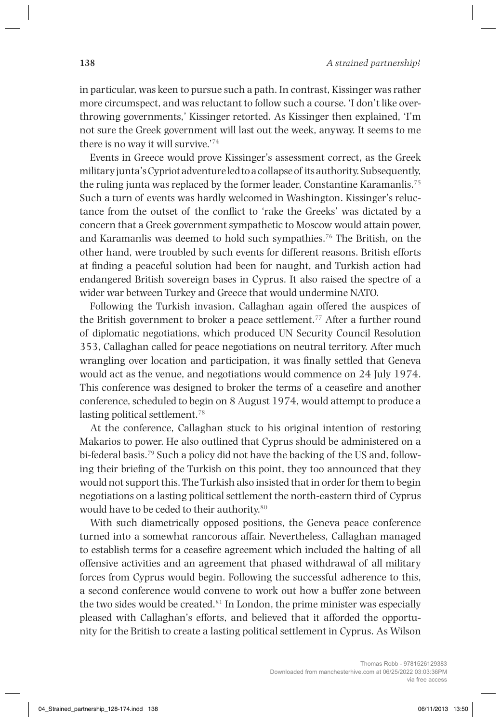in particular, was keen to pursue such a path. In contrast, Kissinger was rather more circumspect, and was reluctant to follow such a course. 'I don't like overthrowing governments,' Kissinger retorted. As Kissinger then explained, 'I'm not sure the Greek government will last out the week, anyway. It seems to me there is no way it will survive.'74

Events in Greece would prove Kissinger's assessment correct, as the Greek military junta's Cypriot adventure led to a collapse of its authority. Subsequently, the ruling junta was replaced by the former leader, Constantine Karamanlis.<sup>75</sup> Such a turn of events was hardly welcomed in Washington. Kissinger's reluctance from the outset of the conflict to 'rake the Greeks' was dictated by a concern that a Greek government sympathetic to Moscow would attain power, and Karamanlis was deemed to hold such sympathies.76 The British, on the other hand, were troubled by such events for different reasons. British efforts at finding a peaceful solution had been for naught, and Turkish action had endangered British sovereign bases in Cyprus. It also raised the spectre of a wider war between Turkey and Greece that would undermine NATO.

Following the Turkish invasion, Callaghan again offered the auspices of the British government to broker a peace settlement.77 After a further round of diplomatic negotiations, which produced UN Security Council Resolution 353, Callaghan called for peace negotiations on neutral territory. After much wrangling over location and participation, it was finally settled that Geneva would act as the venue, and negotiations would commence on 24 July 1974. This conference was designed to broker the terms of a ceasefire and another conference, scheduled to begin on 8 August 1974, would attempt to produce a lasting political settlement.<sup>78</sup>

At the conference, Callaghan stuck to his original intention of restoring Makarios to power. He also outlined that Cyprus should be administered on a bi-federal basis.79 Such a policy did not have the backing of the US and, following their briefing of the Turkish on this point, they too announced that they would not support this. The Turkish also insisted that in order for them to begin negotiations on a lasting political settlement the north-eastern third of Cyprus would have to be ceded to their authority.<sup>80</sup>

With such diametrically opposed positions, the Geneva peace conference turned into a somewhat rancorous affair. Nevertheless, Callaghan managed to establish terms for a ceasefire agreement which included the halting of all offensive activities and an agreement that phased withdrawal of all military forces from Cyprus would begin. Following the successful adherence to this, a second conference would convene to work out how a buffer zone between the two sides would be created.<sup>81</sup> In London, the prime minister was especially pleased with Callaghan's efforts, and believed that it afforded the opportunity for the British to create a lasting political settlement in Cyprus. As Wilson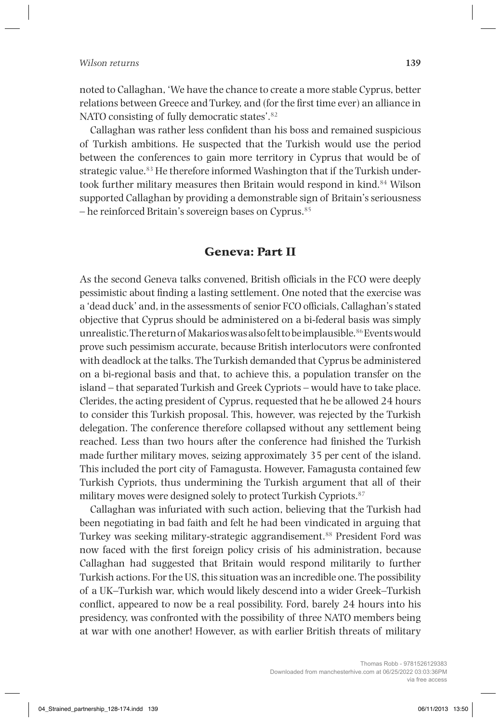noted to Callaghan, 'We have the chance to create a more stable Cyprus, better relations between Greece and Turkey, and (for the first time ever) an alliance in NATO consisting of fully democratic states'.<sup>82</sup>

Callaghan was rather less confident than his boss and remained suspicious of Turkish ambitions. He suspected that the Turkish would use the period between the conferences to gain more territory in Cyprus that would be of strategic value.<sup>83</sup> He therefore informed Washington that if the Turkish undertook further military measures then Britain would respond in kind.<sup>84</sup> Wilson supported Callaghan by providing a demonstrable sign of Britain's seriousness – he reinforced Britain's sovereign bases on Cyprus.85

#### Geneva: Part II

As the second Geneva talks convened, British officials in the FCO were deeply pessimistic about finding a lasting settlement. One noted that the exercise was a 'dead duck' and, in the assessments of senior FCO officials, Callaghan's stated objective that Cyprus should be administered on a bi-federal basis was simply unrealistic. The return of Makarios was also felt to be implausible.<sup>86</sup> Events would prove such pessimism accurate, because British interlocutors were confronted with deadlock at the talks. The Turkish demanded that Cyprus be administered on a bi-regional basis and that, to achieve this, a population transfer on the island – that separated Turkish and Greek Cypriots – would have to take place. Clerides, the acting president of Cyprus, requested that he be allowed 24 hours to consider this Turkish proposal. This, however, was rejected by the Turkish delegation. The conference therefore collapsed without any settlement being reached. Less than two hours after the conference had finished the Turkish made further military moves, seizing approximately 35 per cent of the island. This included the port city of Famagusta. However, Famagusta contained few Turkish Cypriots, thus undermining the Turkish argument that all of their military moves were designed solely to protect Turkish Cypriots.<sup>87</sup>

Callaghan was infuriated with such action, believing that the Turkish had been negotiating in bad faith and felt he had been vindicated in arguing that Turkey was seeking military-strategic aggrandisement.<sup>88</sup> President Ford was now faced with the first foreign policy crisis of his administration, because Callaghan had suggested that Britain would respond militarily to further Turkish actions. For the US, this situation was an incredible one. The possibility of a UK–Turkish war, which would likely descend into a wider Greek–Turkish conflict, appeared to now be a real possibility. Ford, barely 24 hours into his presidency, was confronted with the possibility of three NATO members being at war with one another! However, as with earlier British threats of military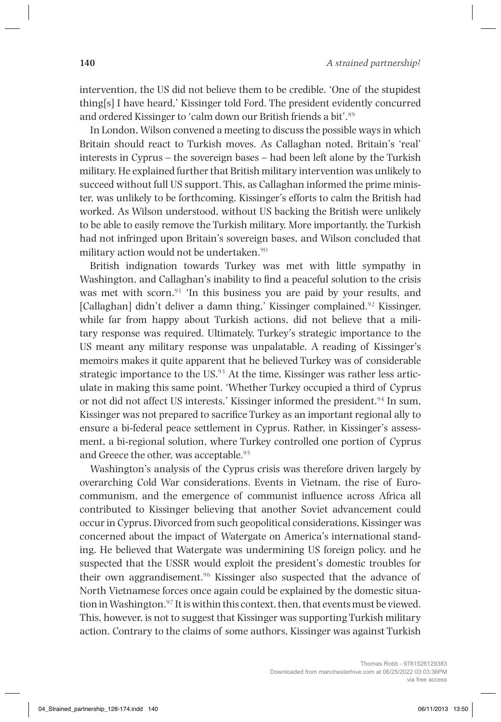intervention, the US did not believe them to be credible. 'One of the stupidest thing[s] I have heard,' Kissinger told Ford. The president evidently concurred and ordered Kissinger to 'calm down our British friends a bit'.<sup>89</sup>

In London, Wilson convened a meeting to discuss the possible ways in which Britain should react to Turkish moves. As Callaghan noted, Britain's 'real' interests in Cyprus – the sovereign bases – had been left alone by the Turkish military. He explained further that British military intervention was unlikely to succeed without full US support. This, as Callaghan informed the prime minister, was unlikely to be forthcoming. Kissinger's efforts to calm the British had worked. As Wilson understood, without US backing the British were unlikely to be able to easily remove the Turkish military. More importantly, the Turkish had not infringed upon Britain's sovereign bases, and Wilson concluded that military action would not be undertaken.<sup>90</sup>

British indignation towards Turkey was met with little sympathy in Washington, and Callaghan's inability to find a peaceful solution to the crisis was met with scorn.<sup>91</sup> 'In this business you are paid by your results, and [Callaghan] didn't deliver a damn thing,' Kissinger complained.<sup>92</sup> Kissinger, while far from happy about Turkish actions, did not believe that a military response was required. Ultimately, Turkey's strategic importance to the US meant any military response was unpalatable. A reading of Kissinger's memoirs makes it quite apparent that he believed Turkey was of considerable strategic importance to the US.<sup>93</sup> At the time, Kissinger was rather less articulate in making this same point. 'Whether Turkey occupied a third of Cyprus or not did not affect US interests,' Kissinger informed the president.<sup>94</sup> In sum, Kissinger was not prepared to sacrifice Turkey as an important regional ally to ensure a bi-federal peace settlement in Cyprus. Rather, in Kissinger's assessment, a bi-regional solution, where Turkey controlled one portion of Cyprus and Greece the other, was acceptable.<sup>95</sup>

Washington's analysis of the Cyprus crisis was therefore driven largely by overarching Cold War considerations. Events in Vietnam, the rise of Eurocommunism, and the emergence of communist influence across Africa all contributed to Kissinger believing that another Soviet advancement could occur in Cyprus. Divorced from such geopolitical considerations, Kissinger was concerned about the impact of Watergate on America's international standing. He believed that Watergate was undermining US foreign policy, and he suspected that the USSR would exploit the president's domestic troubles for their own aggrandisement.96 Kissinger also suspected that the advance of North Vietnamese forces once again could be explained by the domestic situation in Washington.<sup>97</sup> It is within this context, then, that events must be viewed. This, however, is not to suggest that Kissinger was supporting Turkish military action. Contrary to the claims of some authors, Kissinger was against Turkish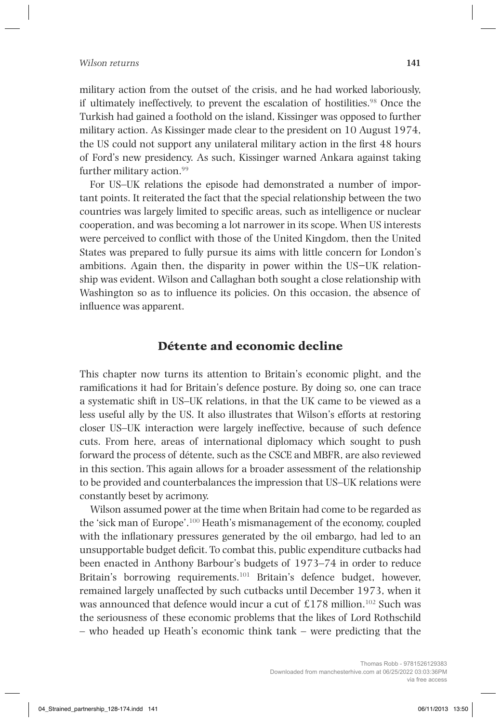military action from the outset of the crisis, and he had worked laboriously, if ultimately ineffectively, to prevent the escalation of hostilities.<sup>98</sup> Once the Turkish had gained a foothold on the island, Kissinger was opposed to further military action. As Kissinger made clear to the president on 10 August 1974, the US could not support any unilateral military action in the first 48 hours of Ford's new presidency. As such, Kissinger warned Ankara against taking further military action.<sup>99</sup>

For US–UK relations the episode had demonstrated a number of important points. It reiterated the fact that the special relationship between the two countries was largely limited to specific areas, such as intelligence or nuclear cooperation, and was becoming a lot narrower in its scope. When US interests were perceived to conflict with those of the United Kingdom, then the United States was prepared to fully pursue its aims with little concern for London's ambitions. Again then, the disparity in power within the US−UK relationship was evident. Wilson and Callaghan both sought a close relationship with Washington so as to influence its policies. On this occasion, the absence of influence was apparent.

#### Détente and economic decline

This chapter now turns its attention to Britain's economic plight, and the ramifications it had for Britain's defence posture. By doing so, one can trace a systematic shift in US–UK relations, in that the UK came to be viewed as a less useful ally by the US. It also illustrates that Wilson's efforts at restoring closer US–UK interaction were largely ineffective, because of such defence cuts. From here, areas of international diplomacy which sought to push forward the process of détente, such as the CSCE and MBFR, are also reviewed in this section. This again allows for a broader assessment of the relationship to be provided and counterbalances the impression that US–UK relations were constantly beset by acrimony.

Wilson assumed power at the time when Britain had come to be regarded as the 'sick man of Europe'.100 Heath's mismanagement of the economy, coupled with the inflationary pressures generated by the oil embargo, had led to an unsupportable budget deficit. To combat this, public expenditure cutbacks had been enacted in Anthony Barbour's budgets of 1973–74 in order to reduce Britain's borrowing requirements.101 Britain's defence budget, however, remained largely unaffected by such cutbacks until December 1973, when it was announced that defence would incur a cut of  $f178$  million.<sup>102</sup> Such was the seriousness of these economic problems that the likes of Lord Rothschild – who headed up Heath's economic think tank – were predicting that the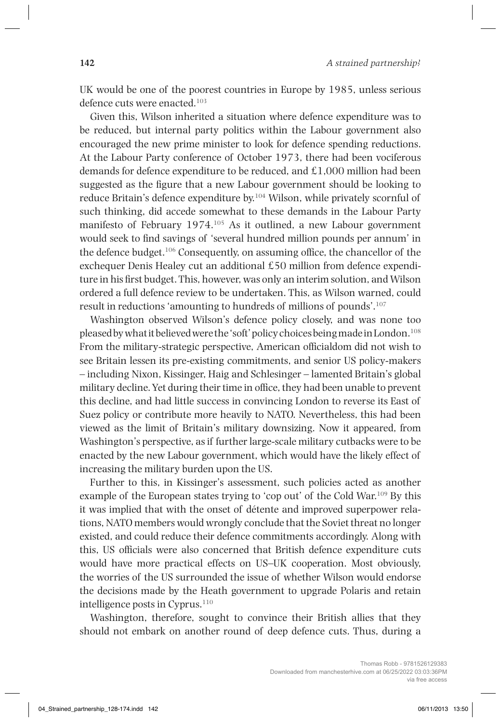UK would be one of the poorest countries in Europe by 1985, unless serious defence cuts were enacted.<sup>103</sup>

Given this, Wilson inherited a situation where defence expenditure was to be reduced, but internal party politics within the Labour government also encouraged the new prime minister to look for defence spending reductions. At the Labour Party conference of October 1973, there had been vociferous demands for defence expenditure to be reduced, and £1,000 million had been suggested as the figure that a new Labour government should be looking to reduce Britain's defence expenditure by.104 Wilson, while privately scornful of such thinking, did accede somewhat to these demands in the Labour Party manifesto of February 1974.105 As it outlined, a new Labour government would seek to find savings of 'several hundred million pounds per annum' in the defence budget.106 Consequently, on assuming office, the chancellor of the exchequer Denis Healey cut an additional £50 million from defence expenditure in his first budget. This, however, was only an interim solution, and Wilson ordered a full defence review to be undertaken. This, as Wilson warned, could result in reductions 'amounting to hundreds of millions of pounds'.107

Washington observed Wilson's defence policy closely, and was none too pleased by what it believed were the 'soft' policy choices being made in London.108 From the military-strategic perspective, American officialdom did not wish to see Britain lessen its pre-existing commitments, and senior US policy-makers – including Nixon, Kissinger, Haig and Schlesinger – lamented Britain's global military decline. Yet during their time in office, they had been unable to prevent this decline, and had little success in convincing London to reverse its East of Suez policy or contribute more heavily to NATO. Nevertheless, this had been viewed as the limit of Britain's military downsizing. Now it appeared, from Washington's perspective, as if further large-scale military cutbacks were to be enacted by the new Labour government, which would have the likely effect of increasing the military burden upon the US.

Further to this, in Kissinger's assessment, such policies acted as another example of the European states trying to 'cop out' of the Cold War.<sup>109</sup> By this it was implied that with the onset of détente and improved superpower relations, NATO members would wrongly conclude that the Soviet threat no longer existed, and could reduce their defence commitments accordingly. Along with this, US officials were also concerned that British defence expenditure cuts would have more practical effects on US–UK cooperation. Most obviously, the worries of the US surrounded the issue of whether Wilson would endorse the decisions made by the Heath government to upgrade Polaris and retain intelligence posts in Cyprus.110

Washington, therefore, sought to convince their British allies that they should not embark on another round of deep defence cuts. Thus, during a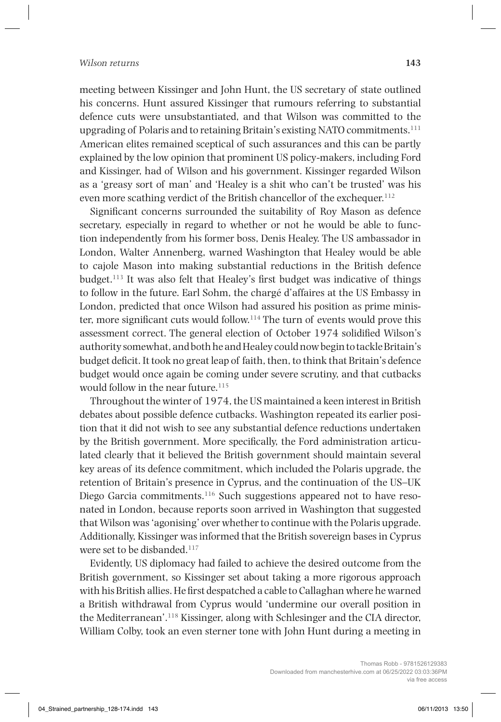meeting between Kissinger and John Hunt, the US secretary of state outlined his concerns. Hunt assured Kissinger that rumours referring to substantial defence cuts were unsubstantiated, and that Wilson was committed to the upgrading of Polaris and to retaining Britain's existing NATO commitments.<sup>111</sup> American elites remained sceptical of such assurances and this can be partly explained by the low opinion that prominent US policy-makers, including Ford and Kissinger, had of Wilson and his government. Kissinger regarded Wilson as a 'greasy sort of man' and 'Healey is a shit who can't be trusted' was his even more scathing verdict of the British chancellor of the exchequer.<sup>112</sup>

Significant concerns surrounded the suitability of Roy Mason as defence secretary, especially in regard to whether or not he would be able to function independently from his former boss, Denis Healey. The US ambassador in London, Walter Annenberg, warned Washington that Healey would be able to cajole Mason into making substantial reductions in the British defence budget.113 It was also felt that Healey's first budget was indicative of things to follow in the future. Earl Sohm, the chargé d'affaires at the US Embassy in London, predicted that once Wilson had assured his position as prime minister, more significant cuts would follow.114 The turn of events would prove this assessment correct. The general election of October 1974 solidified Wilson's authority somewhat, and both he and Healey could now begin to tackle Britain's budget deficit. It took no great leap of faith, then, to think that Britain's defence budget would once again be coming under severe scrutiny, and that cutbacks would follow in the near future.<sup>115</sup>

Throughout the winter of 1974, the US maintained a keen interest in British debates about possible defence cutbacks. Washington repeated its earlier position that it did not wish to see any substantial defence reductions undertaken by the British government. More specifically, the Ford administration articulated clearly that it believed the British government should maintain several key areas of its defence commitment, which included the Polaris upgrade, the retention of Britain's presence in Cyprus, and the continuation of the US–UK Diego Garcia commitments.<sup>116</sup> Such suggestions appeared not to have resonated in London, because reports soon arrived in Washington that suggested that Wilson was 'agonising' over whether to continue with the Polaris upgrade. Additionally, Kissinger was informed that the British sovereign bases in Cyprus were set to be disbanded.<sup>117</sup>

Evidently, US diplomacy had failed to achieve the desired outcome from the British government, so Kissinger set about taking a more rigorous approach with his British allies. He first despatched a cable to Callaghan where he warned a British withdrawal from Cyprus would 'undermine our overall position in the Mediterranean'.118 Kissinger, along with Schlesinger and the CIA director, William Colby, took an even sterner tone with John Hunt during a meeting in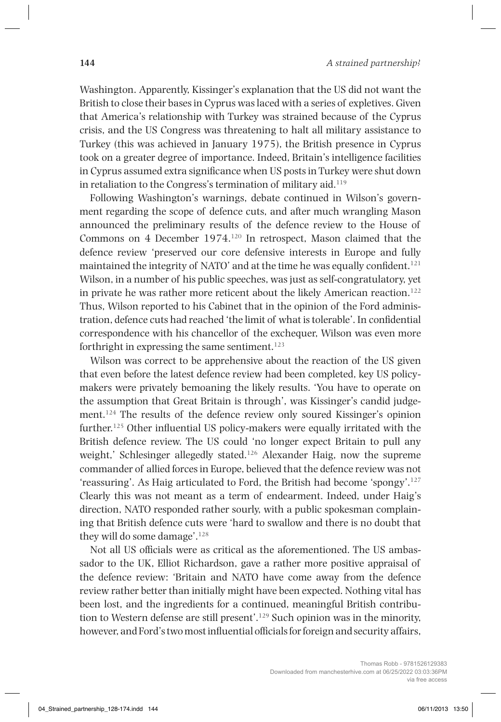Washington. Apparently, Kissinger's explanation that the US did not want the British to close their bases in Cyprus was laced with a series of expletives. Given that America's relationship with Turkey was strained because of the Cyprus crisis, and the US Congress was threatening to halt all military assistance to Turkey (this was achieved in January 1975), the British presence in Cyprus took on a greater degree of importance. Indeed, Britain's intelligence facilities in Cyprus assumed extra significance when US posts in Turkey were shut down in retaliation to the Congress's termination of military aid.<sup>119</sup>

Following Washington's warnings, debate continued in Wilson's government regarding the scope of defence cuts, and after much wrangling Mason announced the preliminary results of the defence review to the House of Commons on 4 December 1974.120 In retrospect, Mason claimed that the defence review 'preserved our core defensive interests in Europe and fully maintained the integrity of NATO' and at the time he was equally confident.<sup>121</sup> Wilson, in a number of his public speeches, was just as self-congratulatory, yet in private he was rather more reticent about the likely American reaction.<sup>122</sup> Thus, Wilson reported to his Cabinet that in the opinion of the Ford administration, defence cuts had reached 'the limit of what is tolerable'. In confidential correspondence with his chancellor of the exchequer, Wilson was even more forthright in expressing the same sentiment. $123$ 

Wilson was correct to be apprehensive about the reaction of the US given that even before the latest defence review had been completed, key US policymakers were privately bemoaning the likely results. 'You have to operate on the assumption that Great Britain is through', was Kissinger's candid judgement.124 The results of the defence review only soured Kissinger's opinion further.125 Other influential US policy-makers were equally irritated with the British defence review. The US could 'no longer expect Britain to pull any weight,' Schlesinger allegedly stated.<sup>126</sup> Alexander Haig, now the supreme commander of allied forces in Europe, believed that the defence review was not 'reassuring'. As Haig articulated to Ford, the British had become 'spongy'.<sup>127</sup> Clearly this was not meant as a term of endearment. Indeed, under Haig's direction, NATO responded rather sourly, with a public spokesman complaining that British defence cuts were 'hard to swallow and there is no doubt that they will do some damage'.128

Not all US officials were as critical as the aforementioned. The US ambassador to the UK, Elliot Richardson, gave a rather more positive appraisal of the defence review: 'Britain and NATO have come away from the defence review rather better than initially might have been expected. Nothing vital has been lost, and the ingredients for a continued, meaningful British contribution to Western defense are still present'.129 Such opinion was in the minority, however, and Ford's two most influential officials for foreign and security affairs,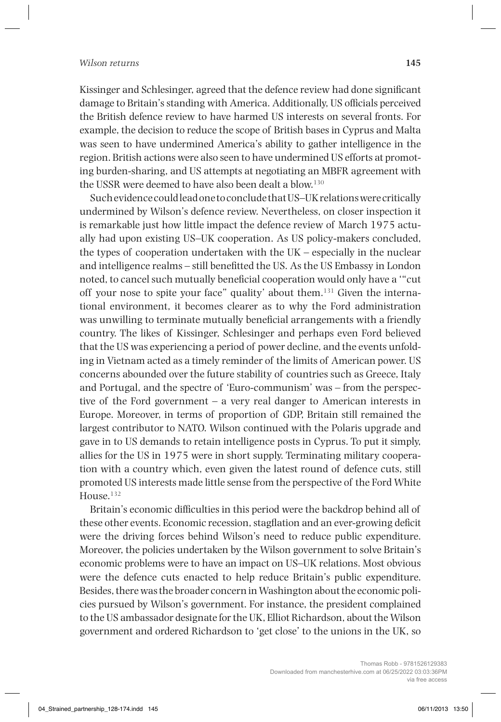Kissinger and Schlesinger, agreed that the defence review had done significant damage to Britain's standing with America. Additionally, US officials perceived the British defence review to have harmed US interests on several fronts. For example, the decision to reduce the scope of British bases in Cyprus and Malta was seen to have undermined America's ability to gather intelligence in the region. British actions were also seen to have undermined US efforts at promoting burden-sharing, and US attempts at negotiating an MBFR agreement with the USSR were deemed to have also been dealt a blow.130

Such evidence could lead one to conclude that US–UK relations were critically undermined by Wilson's defence review. Nevertheless, on closer inspection it is remarkable just how little impact the defence review of March 1975 actually had upon existing US–UK cooperation. As US policy-makers concluded, the types of cooperation undertaken with the UK – especially in the nuclear and intelligence realms – still benefitted the US. As the US Embassy in London noted, to cancel such mutually beneficial cooperation would only have a '"cut off your nose to spite your face" quality' about them.131 Given the international environment, it becomes clearer as to why the Ford administration was unwilling to terminate mutually beneficial arrangements with a friendly country. The likes of Kissinger, Schlesinger and perhaps even Ford believed that the US was experiencing a period of power decline, and the events unfolding in Vietnam acted as a timely reminder of the limits of American power. US concerns abounded over the future stability of countries such as Greece, Italy and Portugal, and the spectre of 'Euro-communism' was – from the perspective of the Ford government – a very real danger to American interests in Europe. Moreover, in terms of proportion of GDP, Britain still remained the largest contributor to NATO. Wilson continued with the Polaris upgrade and gave in to US demands to retain intelligence posts in Cyprus. To put it simply, allies for the US in 1975 were in short supply. Terminating military cooperation with a country which, even given the latest round of defence cuts, still promoted US interests made little sense from the perspective of the Ford White House.<sup>132</sup>

Britain's economic difficulties in this period were the backdrop behind all of these other events. Economic recession, stagflation and an ever-growing deficit were the driving forces behind Wilson's need to reduce public expenditure. Moreover, the policies undertaken by the Wilson government to solve Britain's economic problems were to have an impact on US–UK relations. Most obvious were the defence cuts enacted to help reduce Britain's public expenditure. Besides, there was the broader concern in Washington about the economic policies pursued by Wilson's government. For instance, the president complained to the US ambassador designate for the UK, Elliot Richardson, about the Wilson government and ordered Richardson to 'get close' to the unions in the UK, so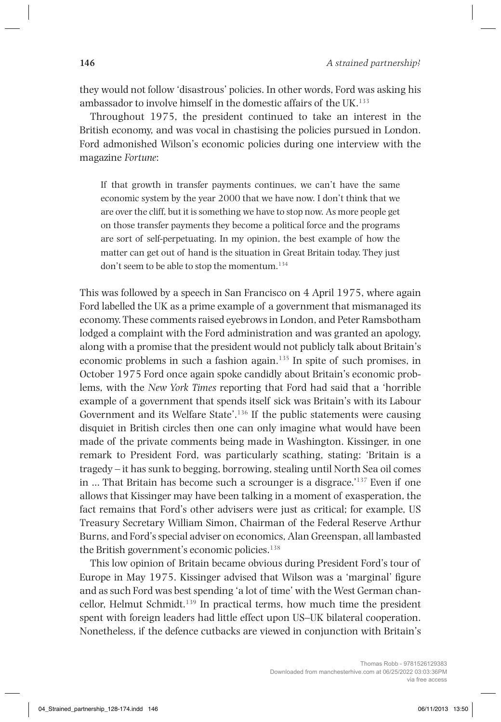they would not follow 'disastrous' policies. In other words, Ford was asking his ambassador to involve himself in the domestic affairs of the UK.<sup>133</sup>

Throughout 1975, the president continued to take an interest in the British economy, and was vocal in chastising the policies pursued in London. Ford admonished Wilson's economic policies during one interview with the magazine *Fortune*:

If that growth in transfer payments continues, we can't have the same economic system by the year 2000 that we have now. I don't think that we are over the cliff, but it is something we have to stop now. As more people get on those transfer payments they become a political force and the programs are sort of self-perpetuating. In my opinion, the best example of how the matter can get out of hand is the situation in Great Britain today. They just don't seem to be able to stop the momentum.<sup>134</sup>

This was followed by a speech in San Francisco on 4 April 1975, where again Ford labelled the UK as a prime example of a government that mismanaged its economy. These comments raised eyebrows in London, and Peter Ramsbotham lodged a complaint with the Ford administration and was granted an apology, along with a promise that the president would not publicly talk about Britain's economic problems in such a fashion again.135 In spite of such promises, in October 1975 Ford once again spoke candidly about Britain's economic problems, with the *New York Times* reporting that Ford had said that a 'horrible example of a government that spends itself sick was Britain's with its Labour Government and its Welfare State'.136 If the public statements were causing disquiet in British circles then one can only imagine what would have been made of the private comments being made in Washington. Kissinger, in one remark to President Ford, was particularly scathing, stating: 'Britain is a tragedy – it has sunk to begging, borrowing, stealing until North Sea oil comes in … That Britain has become such a scrounger is a disgrace.'137 Even if one allows that Kissinger may have been talking in a moment of exasperation, the fact remains that Ford's other advisers were just as critical; for example, US Treasury Secretary William Simon, Chairman of the Federal Reserve Arthur Burns, and Ford's special adviser on economics, Alan Greenspan, all lambasted the British government's economic policies.<sup>138</sup>

This low opinion of Britain became obvious during President Ford's tour of Europe in May 1975. Kissinger advised that Wilson was a 'marginal' figure and as such Ford was best spending 'a lot of time' with the West German chancellor, Helmut Schmidt.139 In practical terms, how much time the president spent with foreign leaders had little effect upon US–UK bilateral cooperation. Nonetheless, if the defence cutbacks are viewed in conjunction with Britain's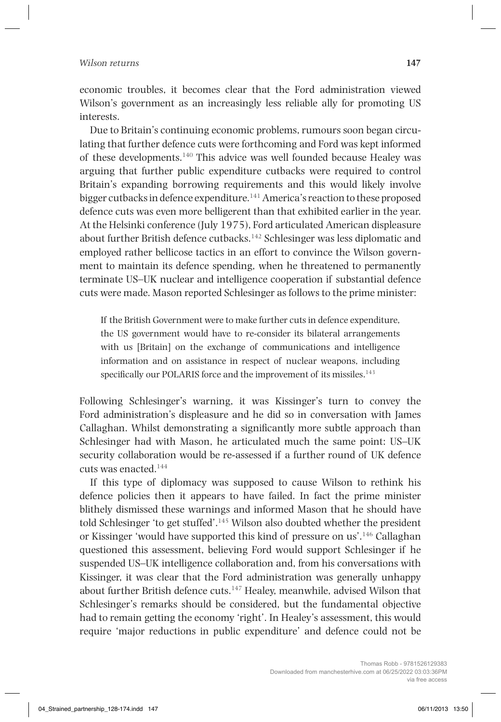economic troubles, it becomes clear that the Ford administration viewed Wilson's government as an increasingly less reliable ally for promoting US interests.

Due to Britain's continuing economic problems, rumours soon began circulating that further defence cuts were forthcoming and Ford was kept informed of these developments.140 This advice was well founded because Healey was arguing that further public expenditure cutbacks were required to control Britain's expanding borrowing requirements and this would likely involve bigger cutbacks in defence expenditure.141 America's reaction to these proposed defence cuts was even more belligerent than that exhibited earlier in the year. At the Helsinki conference (July 1975), Ford articulated American displeasure about further British defence cutbacks.142 Schlesinger was less diplomatic and employed rather bellicose tactics in an effort to convince the Wilson government to maintain its defence spending, when he threatened to permanently terminate US–UK nuclear and intelligence cooperation if substantial defence cuts were made. Mason reported Schlesinger as follows to the prime minister:

If the British Government were to make further cuts in defence expenditure, the US government would have to re-consider its bilateral arrangements with us [Britain] on the exchange of communications and intelligence information and on assistance in respect of nuclear weapons, including specifically our POLARIS force and the improvement of its missiles.<sup>143</sup>

Following Schlesinger's warning, it was Kissinger's turn to convey the Ford administration's displeasure and he did so in conversation with James Callaghan. Whilst demonstrating a significantly more subtle approach than Schlesinger had with Mason, he articulated much the same point: US–UK security collaboration would be re-assessed if a further round of UK defence cuts was enacted.144

If this type of diplomacy was supposed to cause Wilson to rethink his defence policies then it appears to have failed. In fact the prime minister blithely dismissed these warnings and informed Mason that he should have told Schlesinger 'to get stuffed'.145 Wilson also doubted whether the president or Kissinger 'would have supported this kind of pressure on us'.146 Callaghan questioned this assessment, believing Ford would support Schlesinger if he suspended US–UK intelligence collaboration and, from his conversations with Kissinger, it was clear that the Ford administration was generally unhappy about further British defence cuts.<sup>147</sup> Healey, meanwhile, advised Wilson that Schlesinger's remarks should be considered, but the fundamental objective had to remain getting the economy 'right'. In Healey's assessment, this would require 'major reductions in public expenditure' and defence could not be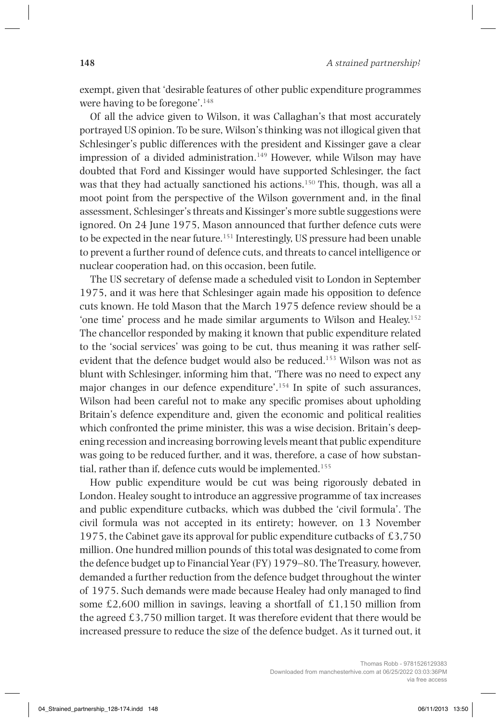exempt, given that 'desirable features of other public expenditure programmes were having to be foregone'.148

Of all the advice given to Wilson, it was Callaghan's that most accurately portrayed US opinion. To be sure, Wilson's thinking was not illogical given that Schlesinger's public differences with the president and Kissinger gave a clear impression of a divided administration.<sup>149</sup> However, while Wilson may have doubted that Ford and Kissinger would have supported Schlesinger, the fact was that they had actually sanctioned his actions.<sup>150</sup> This, though, was all a moot point from the perspective of the Wilson government and, in the final assessment, Schlesinger's threats and Kissinger's more subtle suggestions were ignored. On 24 June 1975, Mason announced that further defence cuts were to be expected in the near future.<sup>151</sup> Interestingly, US pressure had been unable to prevent a further round of defence cuts, and threats to cancel intelligence or nuclear cooperation had, on this occasion, been futile.

The US secretary of defense made a scheduled visit to London in September 1975, and it was here that Schlesinger again made his opposition to defence cuts known. He told Mason that the March 1975 defence review should be a 'one time' process and he made similar arguments to Wilson and Healey.152 The chancellor responded by making it known that public expenditure related to the 'social services' was going to be cut, thus meaning it was rather selfevident that the defence budget would also be reduced.153 Wilson was not as blunt with Schlesinger, informing him that, 'There was no need to expect any major changes in our defence expenditure'.154 In spite of such assurances, Wilson had been careful not to make any specific promises about upholding Britain's defence expenditure and, given the economic and political realities which confronted the prime minister, this was a wise decision. Britain's deepening recession and increasing borrowing levels meant that public expenditure was going to be reduced further, and it was, therefore, a case of how substantial, rather than if, defence cuts would be implemented.155

How public expenditure would be cut was being rigorously debated in London. Healey sought to introduce an aggressive programme of tax increases and public expenditure cutbacks, which was dubbed the 'civil formula'. The civil formula was not accepted in its entirety; however, on 13 November 1975, the Cabinet gave its approval for public expenditure cutbacks of  $\text{\pounds}3,750$ million. One hundred million pounds of this total was designated to come from the defence budget up to Financial Year (FY) 1979–80. The Treasury, however, demanded a further reduction from the defence budget throughout the winter of 1975. Such demands were made because Healey had only managed to find some  $£2,600$  million in savings, leaving a shortfall of  $£1,150$  million from the agreed £3,750 million target. It was therefore evident that there would be increased pressure to reduce the size of the defence budget. As it turned out, it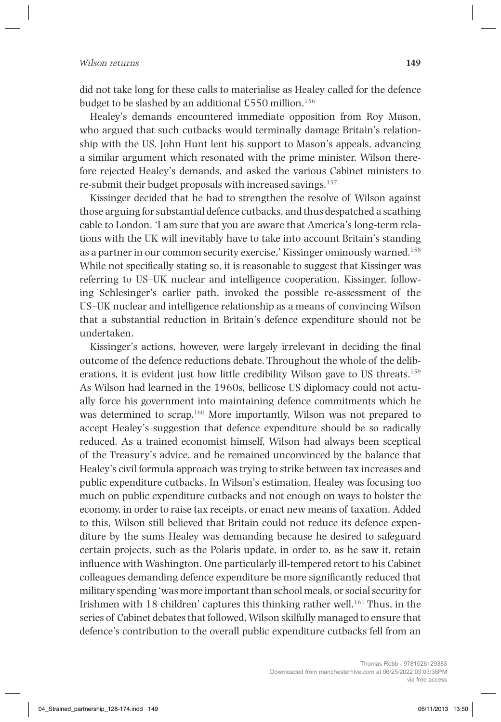did not take long for these calls to materialise as Healey called for the defence budget to be slashed by an additional £550 million.<sup>156</sup>

Healey's demands encountered immediate opposition from Roy Mason, who argued that such cutbacks would terminally damage Britain's relationship with the US. John Hunt lent his support to Mason's appeals, advancing a similar argument which resonated with the prime minister. Wilson therefore rejected Healey's demands, and asked the various Cabinet ministers to re-submit their budget proposals with increased savings.157

Kissinger decided that he had to strengthen the resolve of Wilson against those arguing for substantial defence cutbacks, and thus despatched a scathing cable to London. 'I am sure that you are aware that America's long-term relations with the UK will inevitably have to take into account Britain's standing as a partner in our common security exercise,' Kissinger ominously warned.158 While not specifically stating so, it is reasonable to suggest that Kissinger was referring to US–UK nuclear and intelligence cooperation. Kissinger, following Schlesinger's earlier path, invoked the possible re-assessment of the US–UK nuclear and intelligence relationship as a means of convincing Wilson that a substantial reduction in Britain's defence expenditure should not be undertaken.

Kissinger's actions, however, were largely irrelevant in deciding the final outcome of the defence reductions debate. Throughout the whole of the deliberations, it is evident just how little credibility Wilson gave to US threats.<sup>159</sup> As Wilson had learned in the 1960s, bellicose US diplomacy could not actually force his government into maintaining defence commitments which he was determined to scrap.160 More importantly, Wilson was not prepared to accept Healey's suggestion that defence expenditure should be so radically reduced. As a trained economist himself, Wilson had always been sceptical of the Treasury's advice, and he remained unconvinced by the balance that Healey's civil formula approach was trying to strike between tax increases and public expenditure cutbacks. In Wilson's estimation, Healey was focusing too much on public expenditure cutbacks and not enough on ways to bolster the economy, in order to raise tax receipts, or enact new means of taxation. Added to this, Wilson still believed that Britain could not reduce its defence expenditure by the sums Healey was demanding because he desired to safeguard certain projects, such as the Polaris update, in order to, as he saw it, retain influence with Washington. One particularly ill-tempered retort to his Cabinet colleagues demanding defence expenditure be more significantly reduced that military spending 'was more important than school meals, or social security for Irishmen with 18 children' captures this thinking rather well.<sup>161</sup> Thus, in the series of Cabinet debates that followed, Wilson skilfully managed to ensure that defence's contribution to the overall public expenditure cutbacks fell from an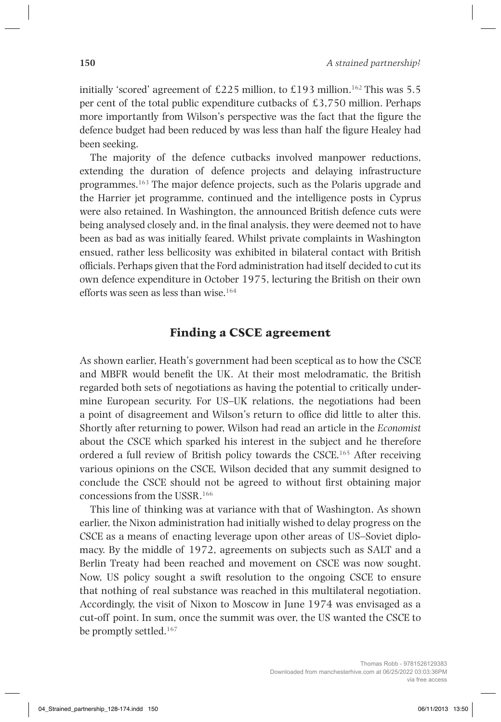initially 'scored' agreement of £225 million, to £193 million.<sup>162</sup> This was 5.5 per cent of the total public expenditure cutbacks of £3,750 million. Perhaps more importantly from Wilson's perspective was the fact that the figure the defence budget had been reduced by was less than half the figure Healey had been seeking.

The majority of the defence cutbacks involved manpower reductions, extending the duration of defence projects and delaying infrastructure programmes.163 The major defence projects, such as the Polaris upgrade and the Harrier jet programme, continued and the intelligence posts in Cyprus were also retained. In Washington, the announced British defence cuts were being analysed closely and, in the final analysis, they were deemed not to have been as bad as was initially feared. Whilst private complaints in Washington ensued, rather less bellicosity was exhibited in bilateral contact with British officials. Perhaps given that the Ford administration had itself decided to cut its own defence expenditure in October 1975, lecturing the British on their own efforts was seen as less than wise. $164$ 

## Finding a CSCE agreement

As shown earlier, Heath's government had been sceptical as to how the CSCE and MBFR would benefit the UK. At their most melodramatic, the British regarded both sets of negotiations as having the potential to critically undermine European security. For US–UK relations, the negotiations had been a point of disagreement and Wilson's return to office did little to alter this. Shortly after returning to power, Wilson had read an article in the *Economist* about the CSCE which sparked his interest in the subject and he therefore ordered a full review of British policy towards the CSCE.165 After receiving various opinions on the CSCE, Wilson decided that any summit designed to conclude the CSCE should not be agreed to without first obtaining major concessions from the USSR.166

This line of thinking was at variance with that of Washington. As shown earlier, the Nixon administration had initially wished to delay progress on the CSCE as a means of enacting leverage upon other areas of US–Soviet diplomacy. By the middle of 1972, agreements on subjects such as SALT and a Berlin Treaty had been reached and movement on CSCE was now sought. Now, US policy sought a swift resolution to the ongoing CSCE to ensure that nothing of real substance was reached in this multilateral negotiation. Accordingly, the visit of Nixon to Moscow in June 1974 was envisaged as a cut-off point. In sum, once the summit was over, the US wanted the CSCE to be promptly settled.<sup>167</sup>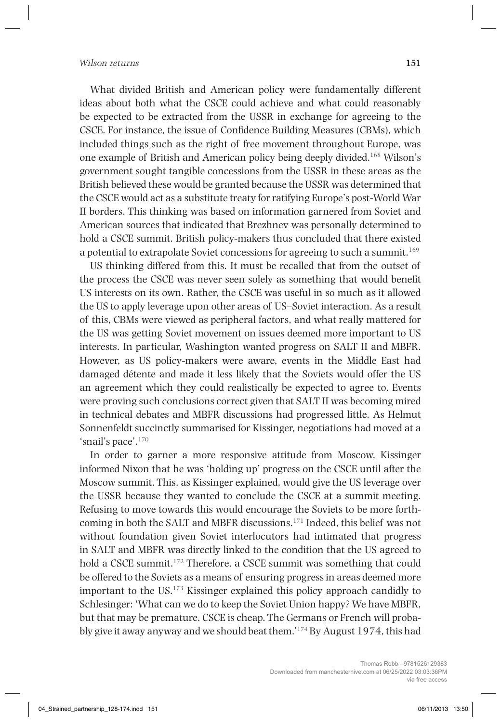What divided British and American policy were fundamentally different ideas about both what the CSCE could achieve and what could reasonably be expected to be extracted from the USSR in exchange for agreeing to the CSCE. For instance, the issue of Confidence Building Measures (CBMs), which included things such as the right of free movement throughout Europe, was one example of British and American policy being deeply divided.168 Wilson's government sought tangible concessions from the USSR in these areas as the British believed these would be granted because the USSR was determined that the CSCE would act as a substitute treaty for ratifying Europe's post-World War II borders. This thinking was based on information garnered from Soviet and American sources that indicated that Brezhnev was personally determined to hold a CSCE summit. British policy-makers thus concluded that there existed a potential to extrapolate Soviet concessions for agreeing to such a summit.<sup>169</sup>

US thinking differed from this. It must be recalled that from the outset of the process the CSCE was never seen solely as something that would benefit US interests on its own. Rather, the CSCE was useful in so much as it allowed the US to apply leverage upon other areas of US–Soviet interaction. As a result of this, CBMs were viewed as peripheral factors, and what really mattered for the US was getting Soviet movement on issues deemed more important to US interests. In particular, Washington wanted progress on SALT II and MBFR. However, as US policy-makers were aware, events in the Middle East had damaged détente and made it less likely that the Soviets would offer the US an agreement which they could realistically be expected to agree to. Events were proving such conclusions correct given that SALT II was becoming mired in technical debates and MBFR discussions had progressed little. As Helmut Sonnenfeldt succinctly summarised for Kissinger, negotiations had moved at a 'snail's pace'.170

In order to garner a more responsive attitude from Moscow, Kissinger informed Nixon that he was 'holding up' progress on the CSCE until after the Moscow summit. This, as Kissinger explained, would give the US leverage over the USSR because they wanted to conclude the CSCE at a summit meeting. Refusing to move towards this would encourage the Soviets to be more forthcoming in both the SALT and MBFR discussions.<sup>171</sup> Indeed, this belief was not without foundation given Soviet interlocutors had intimated that progress in SALT and MBFR was directly linked to the condition that the US agreed to hold a CSCE summit.<sup>172</sup> Therefore, a CSCE summit was something that could be offered to the Soviets as a means of ensuring progress in areas deemed more important to the US.173 Kissinger explained this policy approach candidly to Schlesinger: 'What can we do to keep the Soviet Union happy? We have MBFR, but that may be premature. CSCE is cheap. The Germans or French will probably give it away anyway and we should beat them.'174 By August 1974, this had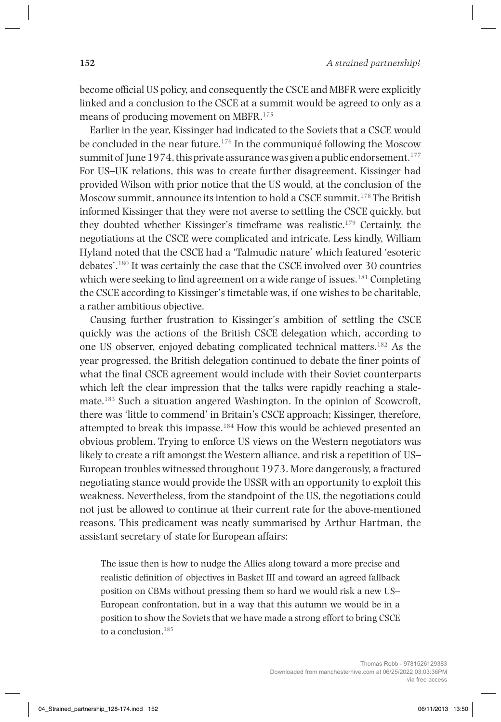become official US policy, and consequently the CSCE and MBFR were explicitly linked and a conclusion to the CSCE at a summit would be agreed to only as a means of producing movement on MBFR.175

Earlier in the year, Kissinger had indicated to the Soviets that a CSCE would be concluded in the near future.176 In the communiqué following the Moscow summit of June 1974, this private assurance was given a public endorsement.<sup>177</sup> For US–UK relations, this was to create further disagreement. Kissinger had provided Wilson with prior notice that the US would, at the conclusion of the Moscow summit, announce its intention to hold a CSCE summit.<sup>178</sup> The British informed Kissinger that they were not averse to settling the CSCE quickly, but they doubted whether Kissinger's timeframe was realistic.179 Certainly, the negotiations at the CSCE were complicated and intricate. Less kindly, William Hyland noted that the CSCE had a 'Talmudic nature' which featured 'esoteric debates'.180 It was certainly the case that the CSCE involved over 30 countries which were seeking to find agreement on a wide range of issues.<sup>181</sup> Completing the CSCE according to Kissinger's timetable was, if one wishes to be charitable, a rather ambitious objective.

Causing further frustration to Kissinger's ambition of settling the CSCE quickly was the actions of the British CSCE delegation which, according to one US observer, enjoyed debating complicated technical matters.182 As the year progressed, the British delegation continued to debate the finer points of what the final CSCE agreement would include with their Soviet counterparts which left the clear impression that the talks were rapidly reaching a stalemate.183 Such a situation angered Washington. In the opinion of Scowcroft, there was 'little to commend' in Britain's CSCE approach; Kissinger, therefore, attempted to break this impasse.<sup>184</sup> How this would be achieved presented an obvious problem. Trying to enforce US views on the Western negotiators was likely to create a rift amongst the Western alliance, and risk a repetition of US– European troubles witnessed throughout 1973. More dangerously, a fractured negotiating stance would provide the USSR with an opportunity to exploit this weakness. Nevertheless, from the standpoint of the US, the negotiations could not just be allowed to continue at their current rate for the above-mentioned reasons. This predicament was neatly summarised by Arthur Hartman, the assistant secretary of state for European affairs:

The issue then is how to nudge the Allies along toward a more precise and realistic definition of objectives in Basket III and toward an agreed fallback position on CBMs without pressing them so hard we would risk a new US– European confrontation, but in a way that this autumn we would be in a position to show the Soviets that we have made a strong effort to bring CSCE to a conclusion.<sup>185</sup>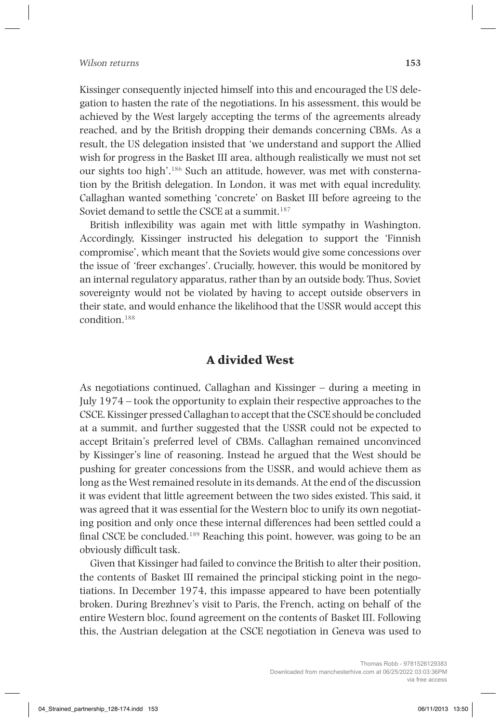Kissinger consequently injected himself into this and encouraged the US delegation to hasten the rate of the negotiations. In his assessment, this would be achieved by the West largely accepting the terms of the agreements already reached, and by the British dropping their demands concerning CBMs. As a result, the US delegation insisted that 'we understand and support the Allied wish for progress in the Basket III area, although realistically we must not set our sights too high'.186 Such an attitude, however, was met with consternation by the British delegation. In London, it was met with equal incredulity. Callaghan wanted something 'concrete' on Basket III before agreeing to the Soviet demand to settle the CSCE at a summit.<sup>187</sup>

British inflexibility was again met with little sympathy in Washington. Accordingly, Kissinger instructed his delegation to support the 'Finnish compromise', which meant that the Soviets would give some concessions over the issue of 'freer exchanges'. Crucially, however, this would be monitored by an internal regulatory apparatus, rather than by an outside body. Thus, Soviet sovereignty would not be violated by having to accept outside observers in their state, and would enhance the likelihood that the USSR would accept this condition.188

# A divided West

As negotiations continued, Callaghan and Kissinger – during a meeting in July 1974 – took the opportunity to explain their respective approaches to the CSCE. Kissinger pressed Callaghan to accept that the CSCE should be concluded at a summit, and further suggested that the USSR could not be expected to accept Britain's preferred level of CBMs. Callaghan remained unconvinced by Kissinger's line of reasoning. Instead he argued that the West should be pushing for greater concessions from the USSR, and would achieve them as long as the West remained resolute in its demands. At the end of the discussion it was evident that little agreement between the two sides existed. This said, it was agreed that it was essential for the Western bloc to unify its own negotiating position and only once these internal differences had been settled could a final CSCE be concluded.<sup>189</sup> Reaching this point, however, was going to be an obviously difficult task.

Given that Kissinger had failed to convince the British to alter their position, the contents of Basket III remained the principal sticking point in the negotiations. In December 1974, this impasse appeared to have been potentially broken. During Brezhnev's visit to Paris, the French, acting on behalf of the entire Western bloc, found agreement on the contents of Basket III. Following this, the Austrian delegation at the CSCE negotiation in Geneva was used to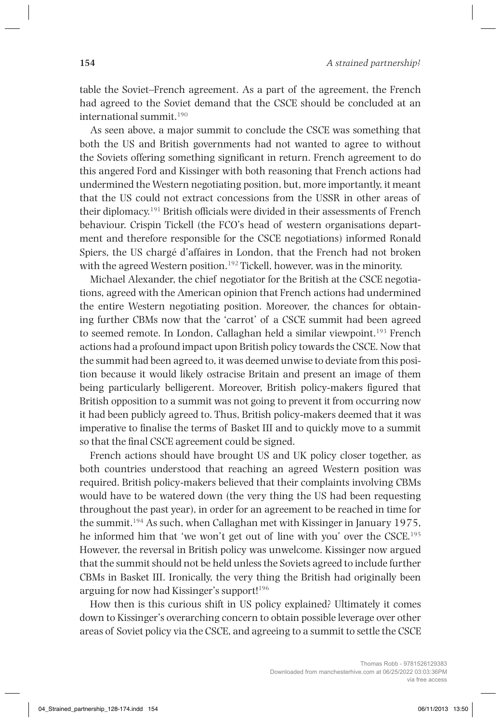table the Soviet–French agreement. As a part of the agreement, the French had agreed to the Soviet demand that the CSCE should be concluded at an international summit.190

As seen above, a major summit to conclude the CSCE was something that both the US and British governments had not wanted to agree to without the Soviets offering something significant in return. French agreement to do this angered Ford and Kissinger with both reasoning that French actions had undermined the Western negotiating position, but, more importantly, it meant that the US could not extract concessions from the USSR in other areas of their diplomacy.191 British officials were divided in their assessments of French behaviour. Crispin Tickell (the FCO's head of western organisations department and therefore responsible for the CSCE negotiations) informed Ronald Spiers, the US chargé d'affaires in London, that the French had not broken with the agreed Western position.<sup>192</sup> Tickell, however, was in the minority.

Michael Alexander, the chief negotiator for the British at the CSCE negotiations, agreed with the American opinion that French actions had undermined the entire Western negotiating position. Moreover, the chances for obtaining further CBMs now that the 'carrot' of a CSCE summit had been agreed to seemed remote. In London, Callaghan held a similar viewpoint.<sup>193</sup> French actions had a profound impact upon British policy towards the CSCE. Now that the summit had been agreed to, it was deemed unwise to deviate from this position because it would likely ostracise Britain and present an image of them being particularly belligerent. Moreover, British policy-makers figured that British opposition to a summit was not going to prevent it from occurring now it had been publicly agreed to. Thus, British policy-makers deemed that it was imperative to finalise the terms of Basket III and to quickly move to a summit so that the final CSCE agreement could be signed.

French actions should have brought US and UK policy closer together, as both countries understood that reaching an agreed Western position was required. British policy-makers believed that their complaints involving CBMs would have to be watered down (the very thing the US had been requesting throughout the past year), in order for an agreement to be reached in time for the summit.194 As such, when Callaghan met with Kissinger in January 1975, he informed him that 'we won't get out of line with you' over the CSCE.195 However, the reversal in British policy was unwelcome. Kissinger now argued that the summit should not be held unless the Soviets agreed to include further CBMs in Basket III. Ironically, the very thing the British had originally been arguing for now had Kissinger's support!<sup>196</sup>

How then is this curious shift in US policy explained? Ultimately it comes down to Kissinger's overarching concern to obtain possible leverage over other areas of Soviet policy via the CSCE, and agreeing to a summit to settle the CSCE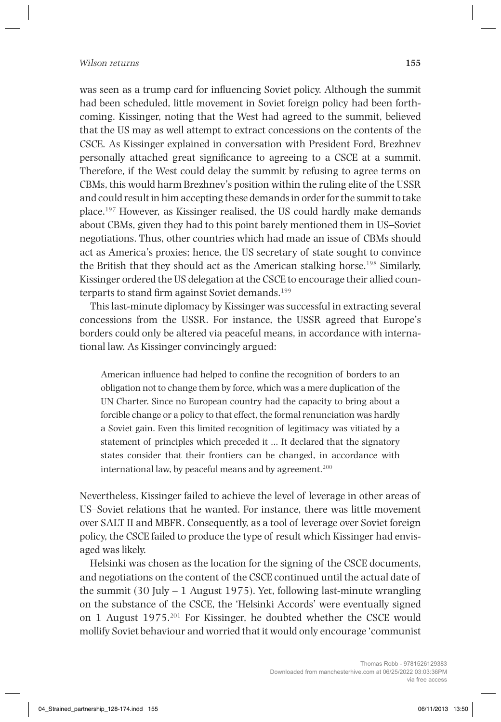was seen as a trump card for influencing Soviet policy. Although the summit had been scheduled, little movement in Soviet foreign policy had been forthcoming. Kissinger, noting that the West had agreed to the summit, believed that the US may as well attempt to extract concessions on the contents of the CSCE. As Kissinger explained in conversation with President Ford, Brezhnev personally attached great significance to agreeing to a CSCE at a summit. Therefore, if the West could delay the summit by refusing to agree terms on CBMs, this would harm Brezhnev's position within the ruling elite of the USSR and could result in him accepting these demands in order for the summit to take place.197 However, as Kissinger realised, the US could hardly make demands about CBMs, given they had to this point barely mentioned them in US–Soviet negotiations. Thus, other countries which had made an issue of CBMs should act as America's proxies; hence, the US secretary of state sought to convince the British that they should act as the American stalking horse.198 Similarly, Kissinger ordered the US delegation at the CSCE to encourage their allied counterparts to stand firm against Soviet demands.<sup>199</sup>

This last-minute diplomacy by Kissinger was successful in extracting several concessions from the USSR. For instance, the USSR agreed that Europe's borders could only be altered via peaceful means, in accordance with international law. As Kissinger convincingly argued:

American influence had helped to confine the recognition of borders to an obligation not to change them by force, which was a mere duplication of the UN Charter. Since no European country had the capacity to bring about a forcible change or a policy to that effect, the formal renunciation was hardly a Soviet gain. Even this limited recognition of legitimacy was vitiated by a statement of principles which preceded it ... It declared that the signatory states consider that their frontiers can be changed, in accordance with international law, by peaceful means and by agreement. $200$ 

Nevertheless, Kissinger failed to achieve the level of leverage in other areas of US–Soviet relations that he wanted. For instance, there was little movement over SALT II and MBFR. Consequently, as a tool of leverage over Soviet foreign policy, the CSCE failed to produce the type of result which Kissinger had envisaged was likely.

Helsinki was chosen as the location for the signing of the CSCE documents, and negotiations on the content of the CSCE continued until the actual date of the summit (30 July – 1 August 1975). Yet, following last-minute wrangling on the substance of the CSCE, the 'Helsinki Accords' were eventually signed on 1 August 1975.201 For Kissinger, he doubted whether the CSCE would mollify Soviet behaviour and worried that it would only encourage 'communist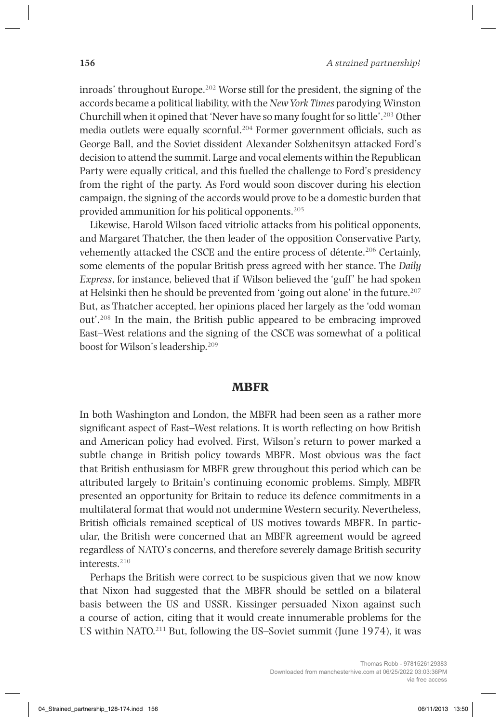inroads' throughout Europe.202 Worse still for the president, the signing of the accords became a political liability, with the *New York Times* parodying Winston Churchill when it opined that 'Never have so many fought for so little'.203 Other media outlets were equally scornful.204 Former government officials, such as George Ball, and the Soviet dissident Alexander Solzhenitsyn attacked Ford's decision to attend the summit. Large and vocal elements within the Republican Party were equally critical, and this fuelled the challenge to Ford's presidency from the right of the party. As Ford would soon discover during his election campaign, the signing of the accords would prove to be a domestic burden that provided ammunition for his political opponents.205

Likewise, Harold Wilson faced vitriolic attacks from his political opponents, and Margaret Thatcher, the then leader of the opposition Conservative Party, vehemently attacked the CSCE and the entire process of détente.206 Certainly, some elements of the popular British press agreed with her stance. The *Daily Express*, for instance, believed that if Wilson believed the 'guff' he had spoken at Helsinki then he should be prevented from 'going out alone' in the future.<sup>207</sup> But, as Thatcher accepted, her opinions placed her largely as the 'odd woman out'.208 In the main, the British public appeared to be embracing improved East–West relations and the signing of the CSCE was somewhat of a political boost for Wilson's leadership.209

#### MBFR

In both Washington and London, the MBFR had been seen as a rather more significant aspect of East–West relations. It is worth reflecting on how British and American policy had evolved. First, Wilson's return to power marked a subtle change in British policy towards MBFR. Most obvious was the fact that British enthusiasm for MBFR grew throughout this period which can be attributed largely to Britain's continuing economic problems. Simply, MBFR presented an opportunity for Britain to reduce its defence commitments in a multilateral format that would not undermine Western security. Nevertheless, British officials remained sceptical of US motives towards MBFR. In particular, the British were concerned that an MBFR agreement would be agreed regardless of NATO's concerns, and therefore severely damage British security interests.210

Perhaps the British were correct to be suspicious given that we now know that Nixon had suggested that the MBFR should be settled on a bilateral basis between the US and USSR. Kissinger persuaded Nixon against such a course of action, citing that it would create innumerable problems for the US within NATO.211 But, following the US–Soviet summit (June 1974), it was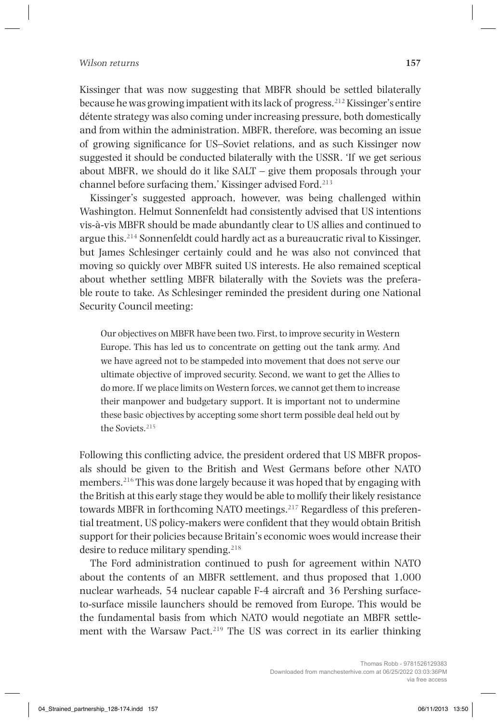Kissinger that was now suggesting that MBFR should be settled bilaterally because he was growing impatient with its lack of progress.212 Kissinger's entire détente strategy was also coming under increasing pressure, both domestically and from within the administration. MBFR, therefore, was becoming an issue of growing significance for US–Soviet relations, and as such Kissinger now suggested it should be conducted bilaterally with the USSR. 'If we get serious about MBFR, we should do it like SALT – give them proposals through your channel before surfacing them,' Kissinger advised Ford.213

Kissinger's suggested approach, however, was being challenged within Washington. Helmut Sonnenfeldt had consistently advised that US intentions vis-à-vis MBFR should be made abundantly clear to US allies and continued to argue this.<sup>214</sup> Sonnenfeldt could hardly act as a bureaucratic rival to Kissinger, but James Schlesinger certainly could and he was also not convinced that moving so quickly over MBFR suited US interests. He also remained sceptical about whether settling MBFR bilaterally with the Soviets was the preferable route to take. As Schlesinger reminded the president during one National Security Council meeting:

Our objectives on MBFR have been two. First, to improve security in Western Europe. This has led us to concentrate on getting out the tank army. And we have agreed not to be stampeded into movement that does not serve our ultimate objective of improved security. Second, we want to get the Allies to do more. If we place limits on Western forces, we cannot get them to increase their manpower and budgetary support. It is important not to undermine these basic objectives by accepting some short term possible deal held out by the Soviets<sup>215</sup>

Following this conflicting advice, the president ordered that US MBFR proposals should be given to the British and West Germans before other NATO members.<sup>216</sup> This was done largely because it was hoped that by engaging with the British at this early stage they would be able to mollify their likely resistance towards MBFR in forthcoming NATO meetings.<sup>217</sup> Regardless of this preferential treatment, US policy-makers were confident that they would obtain British support for their policies because Britain's economic woes would increase their desire to reduce military spending.<sup>218</sup>

The Ford administration continued to push for agreement within NATO about the contents of an MBFR settlement, and thus proposed that 1,000 nuclear warheads, 54 nuclear capable F-4 aircraft and 36 Pershing surfaceto-surface missile launchers should be removed from Europe. This would be the fundamental basis from which NATO would negotiate an MBFR settlement with the Warsaw Pact.<sup>219</sup> The US was correct in its earlier thinking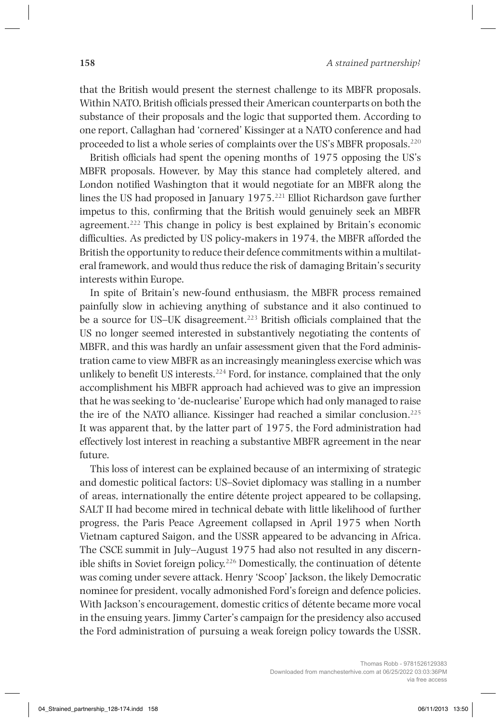that the British would present the sternest challenge to its MBFR proposals. Within NATO, British officials pressed their American counterparts on both the substance of their proposals and the logic that supported them. According to one report, Callaghan had 'cornered' Kissinger at a NATO conference and had proceeded to list a whole series of complaints over the US's MBFR proposals.220

British officials had spent the opening months of 1975 opposing the US's MBFR proposals. However, by May this stance had completely altered, and London notified Washington that it would negotiate for an MBFR along the lines the US had proposed in January 1975.221 Elliot Richardson gave further impetus to this, confirming that the British would genuinely seek an MBFR agreement.222 This change in policy is best explained by Britain's economic difficulties. As predicted by US policy-makers in 1974, the MBFR afforded the British the opportunity to reduce their defence commitments within a multilateral framework, and would thus reduce the risk of damaging Britain's security interests within Europe.

In spite of Britain's new-found enthusiasm, the MBFR process remained painfully slow in achieving anything of substance and it also continued to be a source for US–UK disagreement.<sup>223</sup> British officials complained that the US no longer seemed interested in substantively negotiating the contents of MBFR, and this was hardly an unfair assessment given that the Ford administration came to view MBFR as an increasingly meaningless exercise which was unlikely to benefit US interests.<sup>224</sup> Ford, for instance, complained that the only accomplishment his MBFR approach had achieved was to give an impression that he was seeking to 'de-nuclearise' Europe which had only managed to raise the ire of the NATO alliance. Kissinger had reached a similar conclusion.225 It was apparent that, by the latter part of 1975, the Ford administration had effectively lost interest in reaching a substantive MBFR agreement in the near future.

This loss of interest can be explained because of an intermixing of strategic and domestic political factors: US–Soviet diplomacy was stalling in a number of areas, internationally the entire détente project appeared to be collapsing, SALT II had become mired in technical debate with little likelihood of further progress, the Paris Peace Agreement collapsed in April 1975 when North Vietnam captured Saigon, and the USSR appeared to be advancing in Africa. The CSCE summit in July–August 1975 had also not resulted in any discernible shifts in Soviet foreign policy.226 Domestically, the continuation of détente was coming under severe attack. Henry 'Scoop' Jackson, the likely Democratic nominee for president, vocally admonished Ford's foreign and defence policies. With Jackson's encouragement, domestic critics of détente became more vocal in the ensuing years. Jimmy Carter's campaign for the presidency also accused the Ford administration of pursuing a weak foreign policy towards the USSR.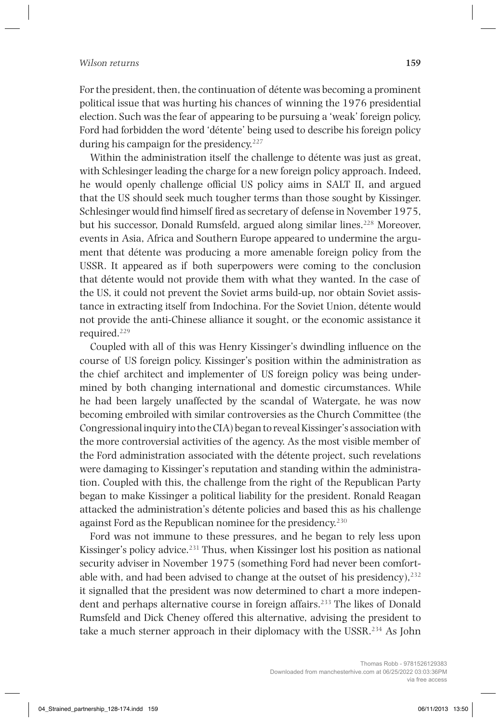For the president, then, the continuation of détente was becoming a prominent political issue that was hurting his chances of winning the 1976 presidential election. Such was the fear of appearing to be pursuing a 'weak' foreign policy, Ford had forbidden the word 'détente' being used to describe his foreign policy during his campaign for the presidency.<sup>227</sup>

Within the administration itself the challenge to détente was just as great, with Schlesinger leading the charge for a new foreign policy approach. Indeed, he would openly challenge official US policy aims in SALT II, and argued that the US should seek much tougher terms than those sought by Kissinger. Schlesinger would find himself fired as secretary of defense in November 1975, but his successor, Donald Rumsfeld, argued along similar lines.<sup>228</sup> Moreover, events in Asia, Africa and Southern Europe appeared to undermine the argument that détente was producing a more amenable foreign policy from the USSR. It appeared as if both superpowers were coming to the conclusion that détente would not provide them with what they wanted. In the case of the US, it could not prevent the Soviet arms build-up, nor obtain Soviet assistance in extracting itself from Indochina. For the Soviet Union, détente would not provide the anti-Chinese alliance it sought, or the economic assistance it required.229

Coupled with all of this was Henry Kissinger's dwindling influence on the course of US foreign policy. Kissinger's position within the administration as the chief architect and implementer of US foreign policy was being undermined by both changing international and domestic circumstances. While he had been largely unaffected by the scandal of Watergate, he was now becoming embroiled with similar controversies as the Church Committee (the Congressional inquiry into the CIA) began to reveal Kissinger's association with the more controversial activities of the agency. As the most visible member of the Ford administration associated with the détente project, such revelations were damaging to Kissinger's reputation and standing within the administration. Coupled with this, the challenge from the right of the Republican Party began to make Kissinger a political liability for the president. Ronald Reagan attacked the administration's détente policies and based this as his challenge against Ford as the Republican nominee for the presidency.<sup>230</sup>

Ford was not immune to these pressures, and he began to rely less upon Kissinger's policy advice.<sup>231</sup> Thus, when Kissinger lost his position as national security adviser in November 1975 (something Ford had never been comfortable with, and had been advised to change at the outset of his presidency),  $232$ it signalled that the president was now determined to chart a more independent and perhaps alternative course in foreign affairs.<sup>233</sup> The likes of Donald Rumsfeld and Dick Cheney offered this alternative, advising the president to take a much sterner approach in their diplomacy with the USSR.<sup>234</sup> As John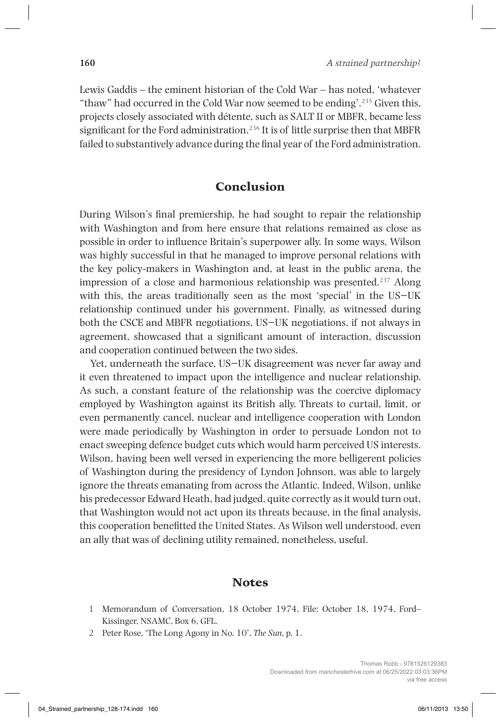Lewis Gaddis – the eminent historian of the Cold War – has noted, 'whatever "thaw" had occurred in the Cold War now seemed to be ending'.235 Given this, projects closely associated with détente, such as SALT II or MBFR, became less significant for the Ford administration.<sup>236</sup> It is of little surprise then that MBFR failed to substantively advance during the final year of the Ford administration.

### Conclusion

During Wilson's final premiership, he had sought to repair the relationship with Washington and from here ensure that relations remained as close as possible in order to influence Britain's superpower ally. In some ways, Wilson was highly successful in that he managed to improve personal relations with the key policy-makers in Washington and, at least in the public arena, the impression of a close and harmonious relationship was presented.<sup>237</sup> Along with this, the areas traditionally seen as the most 'special' in the US−UK relationship continued under his government. Finally, as witnessed during both the CSCE and MBFR negotiations, US−UK negotiations, if not always in agreement, showcased that a significant amount of interaction, discussion and cooperation continued between the two sides.

Yet, underneath the surface, US−UK disagreement was never far away and it even threatened to impact upon the intelligence and nuclear relationship. As such, a constant feature of the relationship was the coercive diplomacy employed by Washington against its British ally. Threats to curtail, limit, or even permanently cancel, nuclear and intelligence cooperation with London were made periodically by Washington in order to persuade London not to enact sweeping defence budget cuts which would harm perceived US interests. Wilson, having been well versed in experiencing the more belligerent policies of Washington during the presidency of Lyndon Johnson, was able to largely ignore the threats emanating from across the Atlantic. Indeed, Wilson, unlike his predecessor Edward Heath, had judged, quite correctly as it would turn out, that Washington would not act upon its threats because, in the final analysis, this cooperation benefitted the United States. As Wilson well understood, even an ally that was of declining utility remained, nonetheless, useful.

#### Notes

- 1 Memorandum of Conversation, 18 October 1974, File: October 18, 1974, Ford– Kissinger, NSAMC, Box 6, GFL.
- 2 Peter Rose, 'The Long Agony in No. 10', *The Sun*, p. 1.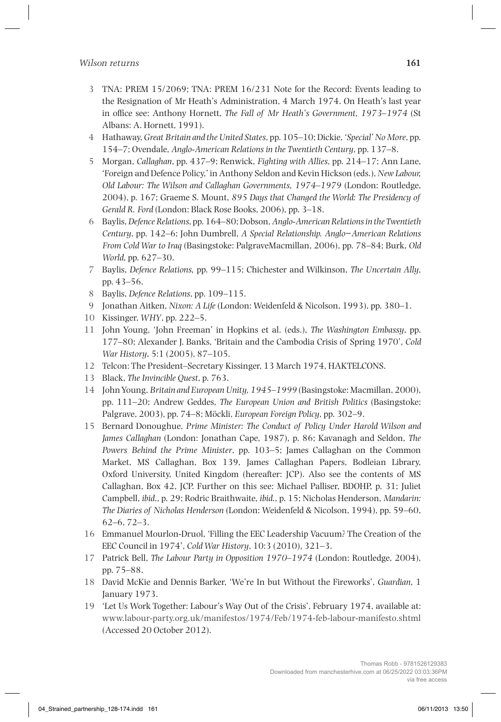- 3 TNA: PREM 15/2069; TNA: PREM 16/231 Note for the Record: Events leading to the Resignation of Mr Heath's Administration, 4 March 1974. On Heath's last year in office see: Anthony Hornett, *The Fall of Mr Heath's Government, 1973–1974* (St Albans: A. Hornett, 1991).
- 4 Hathaway, *Great Britain and the United States*, pp. 105–10; Dickie, *'Special' No More*, pp. 154–7; Ovendale, *Anglo-American Relations in the Twentieth Century*, pp. 137–8.
- 5 Morgan, *Callaghan*, pp. 437–9; Renwick, *Fighting with Allies*, pp. 214–17; Ann Lane, 'Foreign and Defence Policy,' in Anthony Seldon and Kevin Hickson (eds.), *New Labour, Old Labour: The Wilson and Callaghan Governments, 1974–1979* (London: Routledge, 2004), p. 167; Graeme S. Mount, *895 Days that Changed the World: The Presidency of Gerald R. Ford* (London: Black Rose Books, 2006), pp. 3–18.
- 6 Baylis, *Defence Relations*, pp. 164–80; Dobson, *Anglo-American Relations in the Twentieth Century*, pp. 142–6; John Dumbrell, *A Special Relationship. Anglo−American Relations From Cold War to Iraq* (Basingstoke: PalgraveMacmillan, 2006), pp. 78–84; Burk, *Old World*, pp. 627–30.
- 7 Baylis, *Defence Relations,* pp. 99–115; Chichester and Wilkinson, *The Uncertain Ally*, pp. 43–56.
- 8 Baylis, *Defence Relations*, pp. 109–115.
- 9 Jonathan Aitken, *Nixon: A Life* (London: Weidenfeld & Nicolson, 1993), pp. 380–1.
- 10 Kissinger, *WHY*, pp. 222–5.
- 11 John Young, 'John Freeman' in Hopkins et al. (eds.), *The Washington Embassy*, pp. 177–80; Alexander J. Banks, 'Britain and the Cambodia Crisis of Spring 1970', *Cold War History*, 5:1 (2005), 87–105.
- 12 Telcon: The President–Secretary Kissinger, 13 March 1974, HAKTELCONS.
- 13 Black, *The Invincible Quest*, p. 763.
- 14 John Young, *Britain and European Unity, 1945–1999* (Basingstoke: Macmillan, 2000), pp. 111–20; Andrew Geddes, *The European Union and British Politics* (Basingstoke: Palgrave, 2003), pp. 74–8; Möckli, *European Foreign Policy*, pp. 302–9.
- 15 Bernard Donoughue, *Prime Minister: The Conduct of Policy Under Harold Wilson and James Callaghan* (London: Jonathan Cape, 1987), p. 86; Kavanagh and Seldon, *The Powers Behind the Prime Minister*, pp. 103–5; James Callaghan on the Common Market, MS Callaghan, Box 139, James Callaghan Papers, Bodleian Library, Oxford University, United Kingdom (hereafter: JCP). Also see the contents of MS Callaghan, Box 42, JCP. Further on this see: Michael Palliser, BDOHP, p. 31; Juliet Campbell, *ibid*., p. 29; Rodric Braithwaite, *ibid*., p. 15; Nicholas Henderson, *Mandarin: The Diaries of Nicholas Henderson* (London: Weidenfeld & Nicolson, 1994), pp. 59–60, 62–6, 72–3.
- 16 Emmanuel Mourlon-Druol, 'Filling the EEC Leadership Vacuum? The Creation of the EEC Council in 1974', *Cold War History*, 10:3 (2010), 321–3.
- 17 Patrick Bell, *The Labour Party in Opposition 1970–1974* (London: Routledge, 2004), pp. 75–88.
- 18 David McKie and Dennis Barker, 'We're In but Without the Fireworks', *Guardian*, 1 January 1973.
- 19 'Let Us Work Together: Labour's Way Out of the Crisis', February 1974, available at: www.labour-party.org.uk/manifestos/1974/Feb/1974-feb-labour-manifesto.shtml (Accessed 20 October 2012).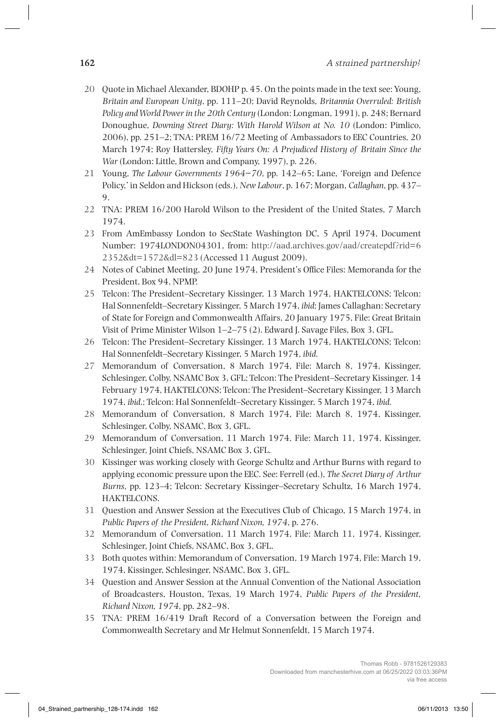- 20 Quote in Michael Alexander, BDOHP p. 45. On the points made in the text see: Young, *Britain and European Unity*, pp. 111–20; David Reynolds, *Britannia Overruled: British Policy and World Power in the 20th Century* (London: Longman, 1991), p. 248; Bernard Donoughue, *Downing Street Diary: With Harold Wilson at No. 10* (London: Pimlico, 2006), pp. 251–2; TNA: PREM 16/72 Meeting of Ambassadors to EEC Countries, 20 March 1974; Roy Hattersley, *Fifty Years On: A Prejudiced History of Britain Since the War* (London: Little, Brown and Company, 1997), p. 226.
- 21 Young, *The Labour Governments 1964−70*, pp. 142–65; Lane, 'Foreign and Defence Policy,' in Seldon and Hickson (eds.), *New Labour*, p. 167; Morgan, *Callaghan*, pp. 437– 9.
- 22 TNA: PREM 16/200 Harold Wilson to the President of the United States, 7 March 1974.
- 23 From AmEmbassy London to SecState Washington DC, 5 April 1974, Document Number: 1974LONDON04301, from: http://aad.archives.gov/aad/createpdf?rid=6 2352&dt=1572&dl=823 (Accessed 11 August 2009).
- 24 Notes of Cabinet Meeting, 20 June 1974, President's Office Files: Memoranda for the President, Box 94, NPMP.
- 25 Telcon: The President–Secretary Kissinger, 13 March 1974, HAKTELCONS; Telcon: Hal Sonnenfeldt–Secretary Kissinger, 5 March 1974, *ibid*; James Callaghan: Secretary of State for Foreign and Commonwealth Affairs, 20 January 1975, File: Great Britain Visit of Prime Minister Wilson 1–2–75 (2). Edward J. Savage Files, Box 3, GFL.
- 26 Telcon: The President–Secretary Kissinger, 13 March 1974, HAKTELCONS; Telcon: Hal Sonnenfeldt–Secretary Kissinger, 5 March 1974, *ibid*.
- 27 Memorandum of Conversation, 8 March 1974, File: March 8, 1974, Kissinger, Schlesinger, Colby, NSAMC Box 3, GFL; Telcon: The President–Secretary Kissinger, 14 February 1974, HAKTELCONS; Telcon: The President–Secretary Kissinger, 13 March 1974, *ibid*.; Telcon: Hal Sonnenfeldt–Secretary Kissinger, 5 March 1974, *ibid*.
- 28 Memorandum of Conversation, 8 March 1974, File: March 8, 1974, Kissinger, Schlesinger, Colby, NSAMC, Box 3, GFL.
- 29 Memorandum of Conversation, 11 March 1974, File: March 11, 1974, Kissinger, Schlesinger, Joint Chiefs, NSAMC Box 3, GFL.
- 30 Kissinger was working closely with George Schultz and Arthur Burns with regard to applying economic pressure upon the EEC. See: Ferrell (ed.), *The Secret Diary of Arthur Burns*, pp. 123–4; Telcon: Secretary Kissinger–Secretary Schultz, 16 March 1974, HAKTELCONS.
- 31 Question and Answer Session at the Executives Club of Chicago, 15 March 1974, in *Public Papers of the President, Richard Nixon, 1974*, p. 276.
- 32 Memorandum of Conversation, 11 March 1974, File: March 11, 1974, Kissinger, Schlesinger, Joint Chiefs, NSAMC, Box 3, GFL.
- 33 Both quotes within: Memorandum of Conversation, 19 March 1974, File: March 19, 1974, Kissinger, Schlesinger, NSAMC, Box 3, GFL.
- 34 Question and Answer Session at the Annual Convention of the National Association of Broadcasters, Houston, Texas, 19 March 1974, *Public Papers of the President, Richard Nixon, 1974*, pp. 282–98.
- 35 TNA: PREM 16/419 Draft Record of a Conversation between the Foreign and Commonwealth Secretary and Mr Helmut Sonnenfeldt, 15 March 1974.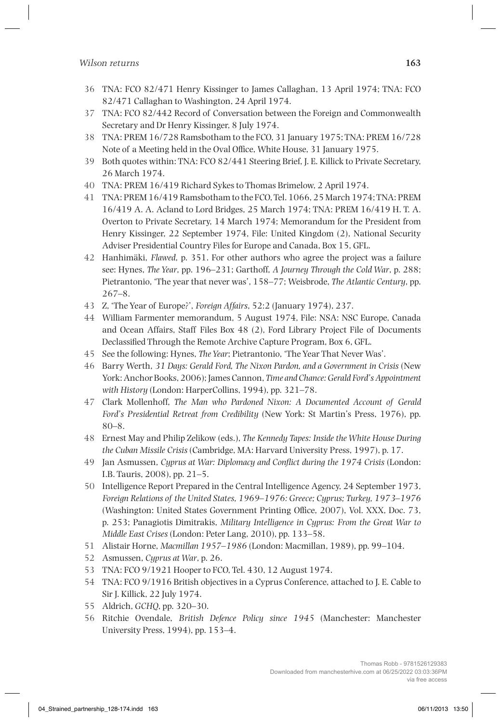- 36 TNA: FCO 82/471 Henry Kissinger to James Callaghan, 13 April 1974; TNA: FCO 82/471 Callaghan to Washington, 24 April 1974.
- 37 TNA: FCO 82/442 Record of Conversation between the Foreign and Commonwealth Secretary and Dr Henry Kissinger, 8 July 1974.
- 38 TNA: PREM 16/728 Ramsbotham to the FCO, 31 January 1975; TNA: PREM 16/728 Note of a Meeting held in the Oval Office, White House, 31 January 1975.
- 39 Both quotes within: TNA: FCO 82/441 Steering Brief, J. E. Killick to Private Secretary, 26 March 1974.
- 40 TNA: PREM 16/419 Richard Sykes to Thomas Brimelow, 2 April 1974.
- 41 TNA: PREM 16/419 Ramsbotham to the FCO, Tel. 1066, 25 March 1974; TNA: PREM 16/419 A. A. Acland to Lord Bridges, 25 March 1974; TNA: PREM 16/419 H. T. A. Overton to Private Secretary, 14 March 1974; Memorandum for the President from Henry Kissinger, 22 September 1974, File: United Kingdom (2), National Security Adviser Presidential Country Files for Europe and Canada, Box 15, GFL.
- 42 Hanhimäki, *Flawed*, p. 351. For other authors who agree the project was a failure see: Hynes, *The Year*, pp. 196–231; Garthoff, *A Journey Through the Cold War*, p. 288; Pietrantonio, 'The year that never was', 158–77; Weisbrode, *The Atlantic Century*, pp. 267–8.
- 43 Z, 'The Year of Europe?', *Foreign Affairs*, 52:2 (January 1974), 237.
- 44 William Farmenter memorandum, 5 August 1974, File: NSA: NSC Europe, Canada and Ocean Affairs, Staff Files Box 48 (2), Ford Library Project File of Documents Declassified Through the Remote Archive Capture Program, Box 6, GFL.
- 45 See the following: Hynes, *The Year*; Pietrantonio, 'The Year That Never Was'.
- 46 Barry Werth, *31 Days: Gerald Ford, The Nixon Pardon, and a Government in Crisis* (New York: Anchor Books, 2006); James Cannon, *Time and Chance: Gerald Ford's Appointment with History* (London: HarperCollins, 1994), pp. 321–78.
- 47 Clark Mollenhoff, *The Man who Pardoned Nixon: A Documented Account of Gerald Ford's Presidential Retreat from Credibility* (New York: St Martin's Press, 1976), pp. 80–8.
- 48 Ernest May and Philip Zelikow (eds.), *The Kennedy Tapes: Inside the White House During the Cuban Missile Crisis* (Cambridge, MA: Harvard University Press, 1997), p. 17.
- 49 Jan Asmussen, *Cyprus at War: Diplomacy and Conflict during the 1974 Crisis* (London: I.B. Tauris, 2008), pp. 21–5.
- 50 Intelligence Report Prepared in the Central Intelligence Agency, 24 September 1973, *Foreign Relations of the United States, 1969–1976: Greece; Cyprus; Turkey, 1973–1976* (Washington: United States Government Printing Office, 2007), Vol. XXX, Doc. 73, p. 253; Panagiotis Dimitrakis, *Military Intelligence in Cyprus: From the Great War to Middle East Crises* (London: Peter Lang, 2010), pp. 133–58.
- 51 Alistair Horne, *Macmillan 1957–1986* (London: Macmillan, 1989), pp. 99–104.
- 52 Asmussen, *Cyprus at War*, p. 26.
- 53 TNA: FCO 9/1921 Hooper to FCO, Tel. 430, 12 August 1974.
- 54 TNA: FCO 9/1916 British objectives in a Cyprus Conference, attached to J. E. Cable to Sir J. Killick, 22 July 1974.
- 55 Aldrich, *GCHQ*, pp. 320–30.
- 56 Ritchie Ovendale, *British Defence Policy since 1945* (Manchester: Manchester University Press, 1994), pp. 153–4.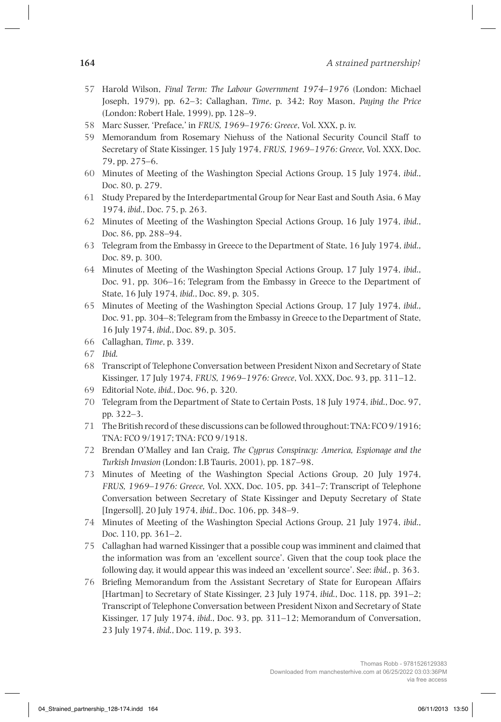- 57 Harold Wilson, *Final Term: The Labour Government 1974–1976* (London: Michael Joseph, 1979), pp. 62–3; Callaghan, *Time*, p. 342; Roy Mason, *Paying the Price*  (London: Robert Hale, 1999), pp. 128–9.
- 58 Marc Susser, 'Preface,' in *FRUS, 1969–1976: Greece*, Vol. XXX, p. iv.
- 59 Memorandum from Rosemary Niehuss of the National Security Council Staff to Secretary of State Kissinger, 15 July 1974, *FRUS, 1969–1976: Greece,* Vol. XXX, Doc. 79, pp. 275–6.
- 60 Minutes of Meeting of the Washington Special Actions Group, 15 July 1974, *ibid*., Doc. 80, p. 279.
- 61 Study Prepared by the Interdepartmental Group for Near East and South Asia, 6 May 1974, *ibid*., Doc. 75, p. 263.
- 62 Minutes of Meeting of the Washington Special Actions Group, 16 July 1974, *ibid*., Doc. 86, pp. 288–94.
- 63 Telegram from the Embassy in Greece to the Department of State, 16 July 1974, *ibid*., Doc. 89, p. 300.
- 64 Minutes of Meeting of the Washington Special Actions Group, 17 July 1974, *ibid*., Doc. 91, pp. 306–16; Telegram from the Embassy in Greece to the Department of State, 16 July 1974, *ibid*., Doc. 89, p. 305.
- 65 Minutes of Meeting of the Washington Special Actions Group, 17 July 1974, *ibid*., Doc. 91, pp. 304–8; Telegram from the Embassy in Greece to the Department of State, 16 July 1974, *ibid*., Doc. 89, p. 305.
- 66 Callaghan*, Time*, p. 339.
- 67 *Ibid*.
- 68 Transcript of Telephone Conversation between President Nixon and Secretary of State Kissinger, 17 July 1974, *FRUS, 1969–1976: Greece*, Vol. XXX, Doc. 93, pp. 311–12.
- 69 Editorial Note, *ibid*., Doc. 96, p. 320.
- 70 Telegram from the Department of State to Certain Posts, 18 July 1974, *ibid*., Doc. 97, pp. 322–3.
- 71 The British record of these discussions can be followed throughout: TNA: FCO 9/1916; TNA: FCO 9/1917; TNA: FCO 9/1918.
- 72 Brendan O'Malley and Ian Craig, *The Cyprus Conspiracy: America, Espionage and the Turkish Invasion* (London: I.B Tauris, 2001), pp. 187–98.
- 73 Minutes of Meeting of the Washington Special Actions Group, 20 July 1974, *FRUS, 1969–1976: Greece,* Vol. XXX, Doc. 105, pp. 341–7; Transcript of Telephone Conversation between Secretary of State Kissinger and Deputy Secretary of State [Ingersoll], 20 July 1974, *ibid*., Doc. 106, pp. 348–9.
- 74 Minutes of Meeting of the Washington Special Actions Group, 21 July 1974, *ibid*., Doc. 110, pp. 361–2.
- 75 Callaghan had warned Kissinger that a possible coup was imminent and claimed that the information was from an 'excellent source'. Given that the coup took place the following day, it would appear this was indeed an 'excellent source'. See: *ibid*., p. 363.
- 76 Briefing Memorandum from the Assistant Secretary of State for European Affairs [Hartman] to Secretary of State Kissinger, 23 July 1974, *ibid*., Doc. 118, pp. 391–2; Transcript of Telephone Conversation between President Nixon and Secretary of State Kissinger, 17 July 1974, *ibid*., Doc. 93, pp. 311–12; Memorandum of Conversation, 23 July 1974, *ibid*., Doc. 119, p. 393.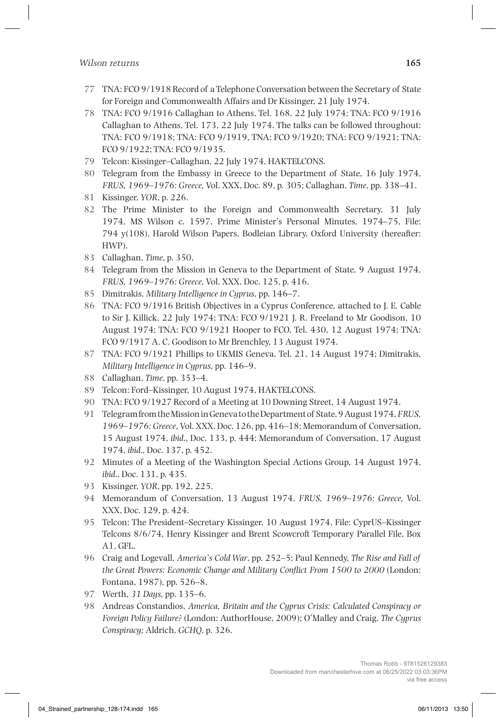- 77 TNA: FCO 9/1918 Record of a Telephone Conversation between the Secretary of State for Foreign and Commonwealth Affairs and Dr Kissinger, 21 July 1974.
- 78 TNA: FCO 9/1916 Callaghan to Athens, Tel. 168, 22 July 1974; TNA: FCO 9/1916 Callaghan to Athens, Tel. 173, 22 July 1974. The talks can be followed throughout: TNA: FCO 9/1918; TNA: FCO 9/1919, TNA: FCO 9/1920; TNA: FCO 9/1921; TNA: FCO 9/1922; TNA: FCO 9/1935.
- 79 Telcon: Kissinger–Callaghan, 22 July 1974, HAKTELCONS.
- 80 Telegram from the Embassy in Greece to the Department of State, 16 July 1974, *FRUS, 1969–1976: Greece,* Vol. XXX, Doc. 89, p. 305; Callaghan, *Time*, pp. 338–41.
- 81 Kissinger, *YOR*, p. 226.
- 82 The Prime Minister to the Foreign and Commonwealth Secretary, 31 July 1974, MS Wilson c. 1597, Prime Minister's Personal Minutes, 1974–75, File: 794 y(108), Harold Wilson Papers, Bodleian Library, Oxford University (hereafter: HWP).
- 83 Callaghan, *Time*, p. 350.
- 84 Telegram from the Mission in Geneva to the Department of State, 9 August 1974, *FRUS, 1969–1976: Greece,* Vol. XXX, Doc. 125, p. 416.
- 85 Dimitrakis, *Military Intelligence in Cyprus*, pp. 146–7.
- 86 TNA: FCO 9/1916 British Objectives in a Cyprus Conference, attached to J. E. Cable to Sir J. Killick, 22 July 1974; TNA: FCO 9/1921 J. R. Freeland to Mr Goodison, 10 August 1974; TNA: FCO 9/1921 Hooper to FCO, Tel. 430, 12 August 1974; TNA: FCO 9/1917 A. C. Goodison to Mr Brenchley, 13 August 1974.
- 87 TNA: FCO 9/1921 Phillips to UKMIS Geneva, Tel. 21, 14 August 1974; Dimitrakis, *Military Intelligence in Cyprus*, pp. 146–9.
- 88 Callaghan, *Time*, pp. 353–4.
- 89 Telcon: Ford–Kissinger, 10 August 1974, HAKTELCONS.
- 90 TNA: FCO 9/1927 Record of a Meeting at 10 Downing Street, 14 August 1974.
- 91 Telegram from the Mission in Geneva to the Department of State, 9 August 1974, *FRUS, 1969–1976: Greece*, Vol. XXX, Doc. 126, pp. 416–18; Memorandum of Conversation, 15 August 1974, *ibid*., Doc. 133, p. 444; Memorandum of Conversation, 17 August 1974, *ibid*., Doc. 137, p. 452.
- 92 Minutes of a Meeting of the Washington Special Actions Group, 14 August 1974, *ibid*., Doc. 131, p. 435.
- 93 Kissinger, *YOR*, pp. 192, 225.
- 94 Memorandum of Conversation, 13 August 1974, *FRUS, 1969–1976: Greece,* Vol. XXX, Doc. 129, p. 424.
- 95 Telcon: The President–Secretary Kissinger, 10 August 1974, File: CyprUS–Kissinger Telcons 8/6/74, Henry Kissinger and Brent Scowcroft Temporary Parallel File, Box A1, GFL.
- 96 Craig and Logevall, *America's Cold War*, pp. 252–5; Paul Kennedy, *The Rise and Fall of the Great Powers: Economic Change and Military Conflict From 1500 to 2000* (London: Fontana, 1987), pp. 526–8.
- 97 Werth, *31 Days,* pp. 135–6.
- 98 Andreas Constandios, *America, Britain and the Cyprus Crisis: Calculated Conspiracy or Foreign Policy Failure?* (London: AuthorHouse, 2009); O'Malley and Craig, *The Cyprus Conspiracy;* Aldrich, *GCHQ*, p. 326.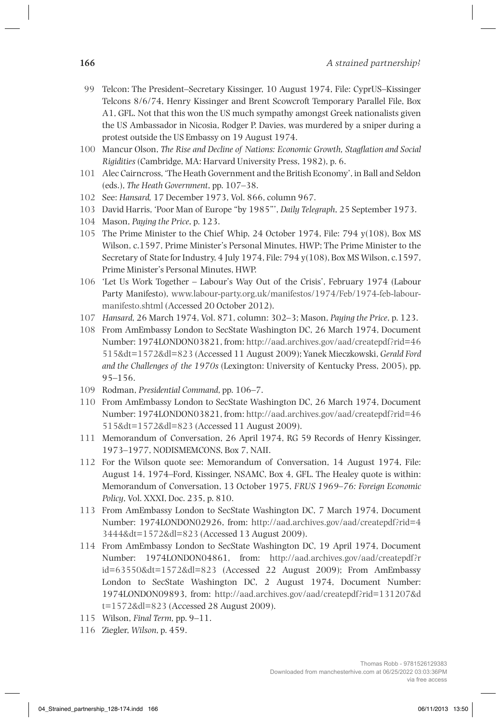- 99 Telcon: The President–Secretary Kissinger, 10 August 1974, File: CyprUS–Kissinger Telcons 8/6/74, Henry Kissinger and Brent Scowcroft Temporary Parallel File, Box A1, GFL. Not that this won the US much sympathy amongst Greek nationalists given the US Ambassador in Nicosia, Rodger P. Davies, was murdered by a sniper during a protest outside the US Embassy on 19 August 1974.
- 100 Mancur Olson, *The Rise and Decline of Nations: Economic Growth, Stagflation and Social Rigidities* (Cambridge, MA: Harvard University Press, 1982), p. 6.
- 101 Alec Cairncross, 'The Heath Government and the British Economy', in Ball and Seldon (eds.), *The Heath Government*, pp. 107–38.
- 102 See: *Hansard,* 17 December 1973, Vol. 866, column 967.
- 103 David Harris, 'Poor Man of Europe "by 1985"', *Daily Telegraph*, 25 September 1973.
- 104 Mason, *Paying the Price*, p. 123.
- 105 The Prime Minister to the Chief Whip, 24 October 1974, File: 794 y(108), Box MS Wilson, c.1597, Prime Minister's Personal Minutes, HWP; The Prime Minister to the Secretary of State for Industry,  $4$  July 1974, File: 794 y(108), Box MS Wilson, c.1597, Prime Minister's Personal Minutes, HWP.
- 106 'Let Us Work Together Labour's Way Out of the Crisis', February 1974 (Labour Party Manifesto), www.labour-party.org.uk/manifestos/1974/Feb/1974-feb-labourmanifesto.shtml (Accessed 20 October 2012).
- 107 *Hansard*, 26 March 1974, Vol. 871, column: 302–3; Mason, *Paying the Price*, p. 123.
- 108 From AmEmbassy London to SecState Washington DC, 26 March 1974, Document Number: 1974LONDON03821, from: http://aad.archives.gov/aad/createpdf?rid=46 515&dt=1572&dl=823 (Accessed 11 August 2009); Yanek Mieczkowski, *Gerald Ford and the Challenges of the 1970s* (Lexington: University of Kentucky Press, 2005), pp. 95–156.
- 109 Rodman, *Presidential Command*, pp. 106–7.
- 110 From AmEmbassy London to SecState Washington DC, 26 March 1974, Document Number: 1974LONDON03821, from: http://aad.archives.gov/aad/createpdf?rid=46 515&dt=1572&dl=823 (Accessed 11 August 2009).
- 111 Memorandum of Conversation, 26 April 1974, RG 59 Records of Henry Kissinger, 1973–1977, NODISMEMCONS, Box 7, NAII.
- 112 For the Wilson quote see: Memorandum of Conversation, 14 August 1974, File: August 14, 1974–Ford, Kissinger, NSAMC, Box 4, GFL. The Healey quote is within: Memorandum of Conversation, 13 October 1975, *FRUS 1969–76: Foreign Economic Policy*, Vol. XXXI, Doc. 235, p. 810.
- 113 From AmEmbassy London to SecState Washington DC, 7 March 1974, Document Number: 1974LONDON02926, from: http://aad.archives.gov/aad/createpdf?rid=4 3444&dt=1572&dl=823 (Accessed 13 August 2009).
- 114 From AmEmbassy London to SecState Washington DC, 19 April 1974, Document Number: 1974LONDON04861, from: http://aad.archives.gov/aad/createpdf?r id=63550&dt=1572&dl=823 (Accessed 22 August 2009); From AmEmbassy London to SecState Washington DC, 2 August 1974, Document Number: 1974LONDON09893, from: http://aad.archives.gov/aad/createpdf?rid=131207&d t=1572&dl=823 (Accessed 28 August 2009).
- 115 Wilson, *Final Term,* pp. 9–11.
- 116 Ziegler, *Wilson*, p. 459.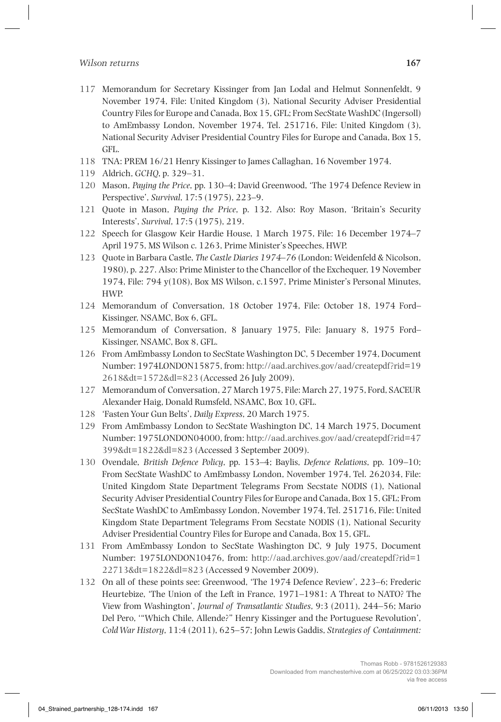- 117 Memorandum for Secretary Kissinger from Jan Lodal and Helmut Sonnenfeldt, 9 November 1974, File: United Kingdom (3), National Security Adviser Presidential Country Files for Europe and Canada, Box 15, GFL; From SecState WashDC (Ingersoll) to AmEmbassy London, November 1974, Tel. 251716, File: United Kingdom (3), National Security Adviser Presidential Country Files for Europe and Canada, Box 15, GFL.
- 118 TNA: PREM 16/21 Henry Kissinger to James Callaghan, 16 November 1974.
- 119 Aldrich, *GCHQ*, p. 329–31.
- 120 Mason, *Paying the Price*, pp. 130–4; David Greenwood, 'The 1974 Defence Review in Perspective', *Survival*, 17:5 (1975), 223–9.
- 121 Quote in Mason, *Paying the Price*, p. 132. Also: Roy Mason, 'Britain's Security Interests', *Survival*, 17:5 (1975), 219.
- 122 Speech for Glasgow Keir Hardie House, 1 March 1975, File: 16 December 1974–7 April 1975, MS Wilson c. 1263, Prime Minister's Speeches, HWP.
- 123 Quote in Barbara Castle, *The Castle Diaries 1974–76* (London: Weidenfeld & Nicolson, 1980), p. 227. Also: Prime Minister to the Chancellor of the Exchequer, 19 November 1974, File: 794 y(108), Box MS Wilson, c.1597, Prime Minister's Personal Minutes, HWP.
- 124 Memorandum of Conversation, 18 October 1974, File: October 18, 1974 Ford– Kissinger, NSAMC, Box 6, GFL.
- 125 Memorandum of Conversation, 8 January 1975, File: January 8, 1975 Ford– Kissinger, NSAMC, Box 8, GFL.
- 126 From AmEmbassy London to SecState Washington DC, 5 December 1974, Document Number: 1974LONDON15875, from: http://aad.archives.gov/aad/createpdf?rid=19 2618&dt=1572&dl=823 (Accessed 26 July 2009).
- 127 Memorandum of Conversation, 27 March 1975, File: March 27, 1975, Ford, SACEUR Alexander Haig, Donald Rumsfeld, NSAMC, Box 10, GFL.
- 128 'Fasten Your Gun Belts', *Daily Express*, 20 March 1975.
- 129 From AmEmbassy London to SecState Washington DC, 14 March 1975, Document Number: 1975LONDON04000, from: http://aad.archives.gov/aad/createpdf?rid=47 399&dt=1822&dl=823 (Accessed 3 September 2009).
- 130 Ovendale, *British Defence Policy*, pp. 153–4; Baylis, *Defence Relations*, pp. 109–10; From SecState WashDC to AmEmbassy London, November 1974, Tel. 262034, File: United Kingdom State Department Telegrams From Secstate NODIS (1), National Security Adviser Presidential Country Files for Europe and Canada, Box 15, GFL; From SecState WashDC to AmEmbassy London, November 1974, Tel. 251716, File: United Kingdom State Department Telegrams From Secstate NODIS (1), National Security Adviser Presidential Country Files for Europe and Canada, Box 15, GFL.
- 131 From AmEmbassy London to SecState Washington DC, 9 July 1975, Document Number: 1975LONDON10476, from: http://aad.archives.gov/aad/createpdf?rid=1 22713&dt=1822&dl=823 (Accessed 9 November 2009).
- 132 On all of these points see: Greenwood, 'The 1974 Defence Review', 223–6; Frederic Heurtebize, 'The Union of the Left in France, 1971–1981: A Threat to NATO? The View from Washington', *Journal of Transatlantic Studies*, 9:3 (2011), 244–56; Mario Del Pero, '"Which Chile, Allende?" Henry Kissinger and the Portuguese Revolution', *Cold War History*, 11:4 (2011), 625–57; John Lewis Gaddis, *Strategies of Containment:*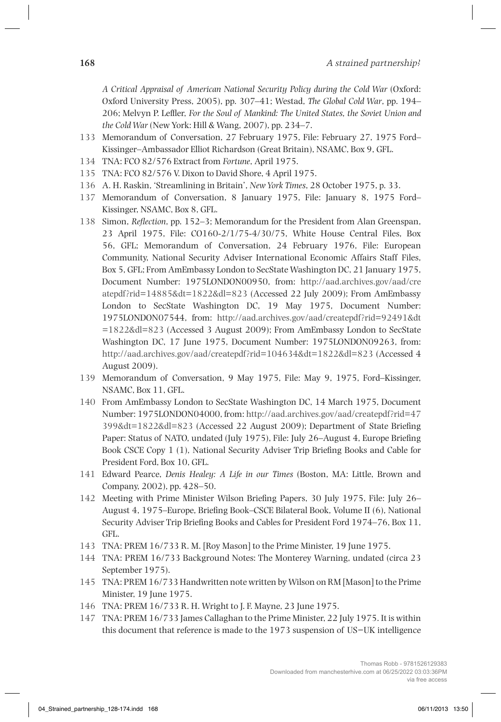*A Critical Appraisal of American National Security Policy during the Cold War* (Oxford: Oxford University Press, 2005), pp. 307–41; Westad, *The Global Cold War*, pp. 194– 206; Melvyn P. Leffler, *For the Soul of Mankind: The United States, the Soviet Union and the Cold War* (New York: Hill & Wang, 2007), pp. 234–7.

- 133 Memorandum of Conversation, 27 February 1975, File: February 27, 1975 Ford– Kissinger–Ambassador Elliot Richardson (Great Britain), NSAMC, Box 9, GFL.
- 134 TNA: FCO 82/576 Extract from *Fortune*, April 1975.
- 135 TNA: FCO 82/576 V. Dixon to David Shore, 4 April 1975.
- 136 A. H. Raskin, 'Streamlining in Britain', *New York Times*, 28 October 1975, p. 33.
- 137 Memorandum of Conversation, 8 January 1975, File: January 8, 1975 Ford– Kissinger, NSAMC, Box 8, GFL.
- 138 Simon, *Reflection*, pp. 152–3; Memorandum for the President from Alan Greenspan, 23 April 1975, File: CO160-2/1/75-4/30/75, White House Central Files, Box 56, GFL; Memorandum of Conversation, 24 February 1976, File: European Community, National Security Adviser International Economic Affairs Staff Files, Box 5, GFL; From AmEmbassy London to SecState Washington DC, 21 January 1975, Document Number: 1975LONDON00950, from: http://aad.archives.gov/aad/cre atepdf?rid=14885&dt=1822&dl=823 (Accessed 22 July 2009); From AmEmbassy London to SecState Washington DC, 19 May 1975, Document Number: 1975LONDON07544, from: http://aad.archives.gov/aad/createpdf?rid=92491&dt =1822&dl=823 (Accessed 3 August 2009); From AmEmbassy London to SecState Washington DC, 17 June 1975, Document Number: 1975LONDON09263, from: http://aad.archives.gov/aad/createpdf?rid=104634&dt=1822&dl=823 (Accessed 4 August 2009).
- 139 Memorandum of Conversation, 9 May 1975, File: May 9, 1975, Ford–Kissinger, NSAMC, Box 11, GFL.
- 140 From AmEmbassy London to SecState Washington DC, 14 March 1975, Document Number: 1975LONDON04000, from: http://aad.archives.gov/aad/createpdf?rid=47 399&dt=1822&dl=823 (Accessed 22 August 2009); Department of State Briefing Paper: Status of NATO, undated (July 1975), File: July 26–August 4, Europe Briefing Book CSCE Copy 1 (1), National Security Adviser Trip Briefing Books and Cable for President Ford, Box 10, GFL.
- 141 Edward Pearce, *Denis Healey: A Life in our Times* (Boston, MA: Little, Brown and Company, 2002), pp. 428–50.
- 142 Meeting with Prime Minister Wilson Briefing Papers, 30 July 1975, File: July 26– August 4, 1975–Europe, Briefing Book–CSCE Bilateral Book, Volume II (6), National Security Adviser Trip Briefing Books and Cables for President Ford 1974–76, Box 11, GFL.
- 143 TNA: PREM 16/733 R. M. [Roy Mason] to the Prime Minister, 19 June 1975.
- 144 TNA: PREM 16/733 Background Notes: The Monterey Warning, undated (circa 23 September 1975).
- 145 TNA: PREM 16/733 Handwritten note written by Wilson on RM [Mason] to the Prime Minister, 19 June 1975.
- 146 TNA: PREM 16/733 R. H. Wright to J. F. Mayne, 23 June 1975.
- 147 TNA: PREM 16/733 James Callaghan to the Prime Minister, 22 July 1975. It is within this document that reference is made to the 1973 suspension of US−UK intelligence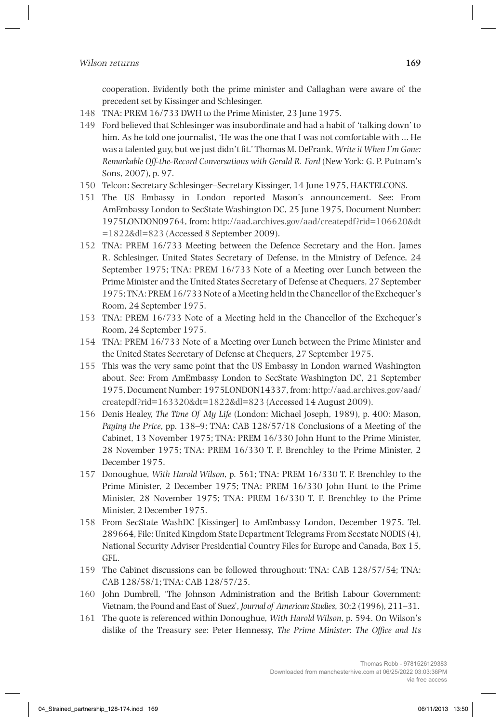cooperation. Evidently both the prime minister and Callaghan were aware of the precedent set by Kissinger and Schlesinger.

- 148 TNA: PREM 16/733 DWH to the Prime Minister, 23 June 1975.
- 149 Ford believed that Schlesinger was insubordinate and had a habit of 'talking down' to him. As he told one journalist, 'He was the one that I was not comfortable with ... He was a talented guy, but we just didn't fit.' Thomas M. DeFrank, *Write it When I'm Gone: Remarkable Off-the-Record Conversations with Gerald R. Ford* (New York: G. P. Putnam's Sons, 2007), p. 97.
- 150 Telcon: Secretary Schlesinger–Secretary Kissinger, 14 June 1975, HAKTELCONS.
- 151 The US Embassy in London reported Mason's announcement. See: From AmEmbassy London to SecState Washington DC, 25 June 1975, Document Number: 1975LONDON09764, from: http://aad.archives.gov/aad/createpdf?rid=106620&dt =1822&dl=823 (Accessed 8 September 2009).
- 152 TNA: PREM 16/733 Meeting between the Defence Secretary and the Hon. James R. Schlesinger, United States Secretary of Defense, in the Ministry of Defence, 24 September 1975; TNA: PREM 16/733 Note of a Meeting over Lunch between the Prime Minister and the United States Secretary of Defense at Chequers, 27 September 1975; TNA: PREM 16/733 Note of a Meeting held in the Chancellor of the Exchequer's Room, 24 September 1975.
- 153 TNA: PREM 16/733 Note of a Meeting held in the Chancellor of the Exchequer's Room, 24 September 1975.
- 154 TNA: PREM 16/733 Note of a Meeting over Lunch between the Prime Minister and the United States Secretary of Defense at Chequers, 27 September 1975.
- 155 This was the very same point that the US Embassy in London warned Washington about. See: From AmEmbassy London to SecState Washington DC, 21 September 1975, Document Number: 1975LONDON14337, from: http://aad.archives.gov/aad/ createpdf?rid=163320&dt=1822&dl=823 (Accessed 14 August 2009).
- 156 Denis Healey, *The Time Of My Life* (London: Michael Joseph, 1989), p. 400; Mason, *Paying the Price*, pp. 138–9; TNA: CAB 128/57/18 Conclusions of a Meeting of the Cabinet, 13 November 1975; TNA: PREM 16/330 John Hunt to the Prime Minister, 28 November 1975; TNA: PREM 16/330 T. F. Brenchley to the Prime Minister, 2 December 1975.
- 157 Donoughue, *With Harold Wilson*, p. 561; TNA: PREM 16/330 T. F. Brenchley to the Prime Minister, 2 December 1975; TNA: PREM 16/330 John Hunt to the Prime Minister, 28 November 1975; TNA: PREM 16/330 T. F. Brenchley to the Prime Minister, 2 December 1975.
- 158 From SecState WashDC [Kissinger] to AmEmbassy London, December 1975, Tel. 289664, File: United Kingdom State Department Telegrams From Secstate NODIS (4), National Security Adviser Presidential Country Files for Europe and Canada, Box 15, GFL.
- 159 The Cabinet discussions can be followed throughout: TNA: CAB 128/57/54; TNA: CAB 128/58/1; TNA: CAB 128/57/25.
- 160 John Dumbrell, 'The Johnson Administration and the British Labour Government: Vietnam, the Pound and East of Suez', *Journal of American Studies*, 30:2 (1996), 211–31.
- 161 The quote is referenced within Donoughue, *With Harold Wilson*, p. 594. On Wilson's dislike of the Treasury see: Peter Hennessy, *The Prime Minister: The Office and Its*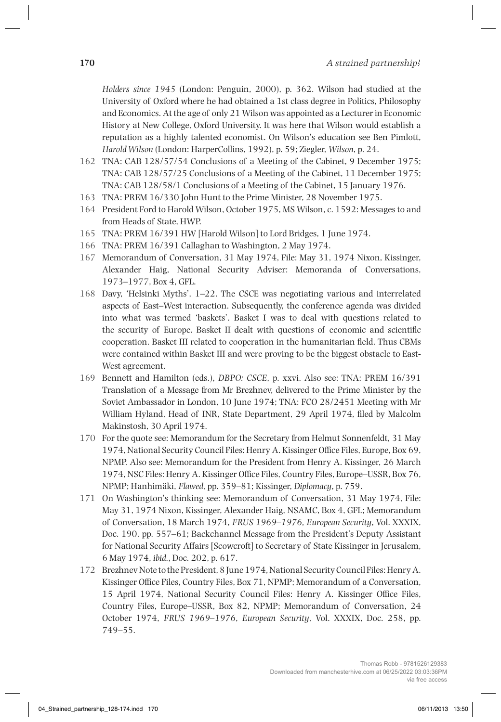*Holders since 1945* (London: Penguin, 2000), p. 362. Wilson had studied at the University of Oxford where he had obtained a 1st class degree in Politics, Philosophy and Economics. At the age of only 21 Wilson was appointed as a Lecturer in Economic History at New College, Oxford University. It was here that Wilson would establish a reputation as a highly talented economist. On Wilson's education see Ben Pimlott, *Harold Wilson* (London: HarperCollins, 1992), p. 59; Ziegler, *Wilson*, p. 24.

- 162 TNA: CAB 128/57/54 Conclusions of a Meeting of the Cabinet, 9 December 1975; TNA: CAB 128/57/25 Conclusions of a Meeting of the Cabinet, 11 December 1975; TNA: CAB 128/58/1 Conclusions of a Meeting of the Cabinet, 15 January 1976.
- 163 TNA: PREM 16/330 John Hunt to the Prime Minister, 28 November 1975.
- 164 President Ford to Harold Wilson, October 1975, MS Wilson, c. 1592: Messages to and from Heads of State, HWP.
- 165 TNA: PREM 16/391 HW [Harold Wilson] to Lord Bridges, 1 June 1974.
- 166 TNA: PREM 16/391 Callaghan to Washington, 2 May 1974.
- 167 Memorandum of Conversation, 31 May 1974, File: May 31, 1974 Nixon, Kissinger, Alexander Haig, National Security Adviser: Memoranda of Conversations, 1973–1977, Box 4, GFL.
- 168 Davy, 'Helsinki Myths', 1–22. The CSCE was negotiating various and interrelated aspects of East–West interaction. Subsequently, the conference agenda was divided into what was termed 'baskets'. Basket I was to deal with questions related to the security of Europe. Basket II dealt with questions of economic and scientific cooperation. Basket III related to cooperation in the humanitarian field. Thus CBMs were contained within Basket III and were proving to be the biggest obstacle to East-West agreement.
- 169 Bennett and Hamilton (eds.), *DBPO: CSCE*, p. xxvi. Also see: TNA: PREM 16/391 Translation of a Message from Mr Brezhnev, delivered to the Prime Minister by the Soviet Ambassador in London, 10 June 1974; TNA: FCO 28/2451 Meeting with Mr William Hyland, Head of INR, State Department, 29 April 1974, filed by Malcolm Makinstosh, 30 April 1974.
- 170 For the quote see: Memorandum for the Secretary from Helmut Sonnenfeldt, 31 May 1974, National Security Council Files: Henry A. Kissinger Office Files, Europe, Box 69, NPMP. Also see: Memorandum for the President from Henry A. Kissinger, 26 March 1974, NSC Files: Henry A. Kissinger Office Files, Country Files, Europe–USSR, Box 76, NPMP; Hanhimäki, *Flawed*, pp. 359–81; Kissinger, *Diplomacy*, p. 759.
- 171 On Washington's thinking see: Memorandum of Conversation, 31 May 1974, File: May 31, 1974 Nixon, Kissinger, Alexander Haig, NSAMC, Box 4, GFL; Memorandum of Conversation, 18 March 1974, *FRUS 1969–1976, European Security*, Vol. XXXIX, Doc. 190, pp. 557–61; Backchannel Message from the President's Deputy Assistant for National Security Affairs [Scowcroft] to Secretary of State Kissinger in Jerusalem, 6 May 1974, *ibid*., Doc. 202, p. 617.
- 172 Brezhnev Note to the President, 8 June 1974, National Security Council Files: Henry A. Kissinger Office Files, Country Files, Box 71, NPMP; Memorandum of a Conversation, 15 April 1974, National Security Council Files: Henry A. Kissinger Office Files, Country Files, Europe–USSR, Box 82, NPMP; Memorandum of Conversation, 24 October 1974, *FRUS 1969–1976*, *European Security*, Vol. XXXIX, Doc. 258, pp. 749–55.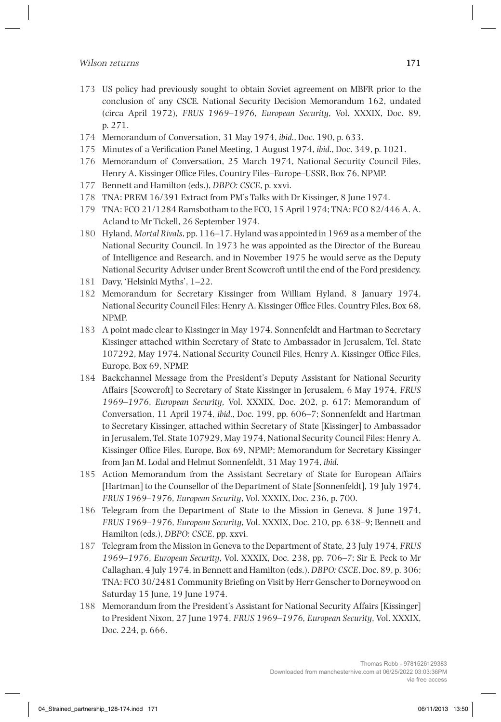- 173 US policy had previously sought to obtain Soviet agreement on MBFR prior to the conclusion of any CSCE. National Security Decision Memorandum 162, undated (circa April 1972), *FRUS 1969–1976*, *European Security*, Vol. XXXIX, Doc. 89, p. 271.
- 174 Memorandum of Conversation, 31 May 1974, *ibid*., Doc. 190, p. 633.
- 175 Minutes of a Verification Panel Meeting, 1 August 1974, *ibid*., Doc. 349, p. 1021.
- 176 Memorandum of Conversation, 25 March 1974, National Security Council Files, Henry A. Kissinger Office Files, Country Files–Europe–USSR, Box 76, NPMP.
- 177 Bennett and Hamilton (eds.), *DBPO: CSCE*, p. xxvi.
- 178 TNA: PREM 16/391 Extract from PM's Talks with Dr Kissinger, 8 June 1974.
- 179 TNA: FCO 21/1284 Ramsbotham to the FCO, 15 April 1974; TNA: FCO 82/446 A. A. Acland to Mr Tickell, 26 September 1974.
- 180 Hyland, *Mortal Rivals*, pp. 116–17. Hyland was appointed in 1969 as a member of the National Security Council. In 1973 he was appointed as the Director of the Bureau of Intelligence and Research, and in November 1975 he would serve as the Deputy National Security Adviser under Brent Scowcroft until the end of the Ford presidency.
- 181 Davy, 'Helsinki Myths', 1–22.
- 182 Memorandum for Secretary Kissinger from William Hyland, 8 January 1974, National Security Council Files: Henry A. Kissinger Office Files, Country Files, Box 68, NPMP.
- 183 A point made clear to Kissinger in May 1974. Sonnenfeldt and Hartman to Secretary Kissinger attached within Secretary of State to Ambassador in Jerusalem, Tel. State 107292, May 1974, National Security Council Files, Henry A. Kissinger Office Files, Europe, Box 69, NPMP.
- 184 Backchannel Message from the President's Deputy Assistant for National Security Affairs [Scowcroft] to Secretary of State Kissinger in Jerusalem, 6 May 1974, *FRUS 1969–1976*, *European Security*, Vol. XXXIX, Doc. 202, p. 617; Memorandum of Conversation, 11 April 1974, *ibid*., Doc. 199, pp. 606–7; Sonnenfeldt and Hartman to Secretary Kissinger, attached within Secretary of State [Kissinger] to Ambassador in Jerusalem, Tel. State 107929, May 1974, National Security Council Files: Henry A. Kissinger Office Files, Europe, Box 69, NPMP; Memorandum for Secretary Kissinger from Jan M. Lodal and Helmut Sonnenfeldt, 31 May 1974, *ibid*.
- 185 Action Memorandum from the Assistant Secretary of State for European Affairs [Hartman] to the Counsellor of the Department of State [Sonnenfeldt], 19 July 1974, *FRUS 1969–1976, European Security*, Vol. XXXIX, Doc. 236, p. 700.
- 186 Telegram from the Department of State to the Mission in Geneva, 8 June 1974, *FRUS 1969–1976, European Security*, Vol. XXXIX, Doc. 210, pp. 638–9; Bennett and Hamilton (eds.), *DBPO: CSCE*, pp. xxvi.
- 187 Telegram from the Mission in Geneva to the Department of State, 23 July 1974, *FRUS 1969–1976*, *European Security*, Vol. XXXIX, Doc. 238, pp. 706–7; Sir E. Peck to Mr Callaghan, 4 July 1974, in Bennett and Hamilton (eds.), *DBPO: CSCE*, Doc. 89, p. 306; TNA: FCO 30/2481 Community Briefing on Visit by Herr Genscher to Dorneywood on Saturday 15 June, 19 June 1974.
- 188 Memorandum from the President's Assistant for National Security Affairs [Kissinger] to President Nixon, 27 June 1974, *FRUS 1969–1976, European Security*, Vol. XXXIX, Doc. 224, p. 666.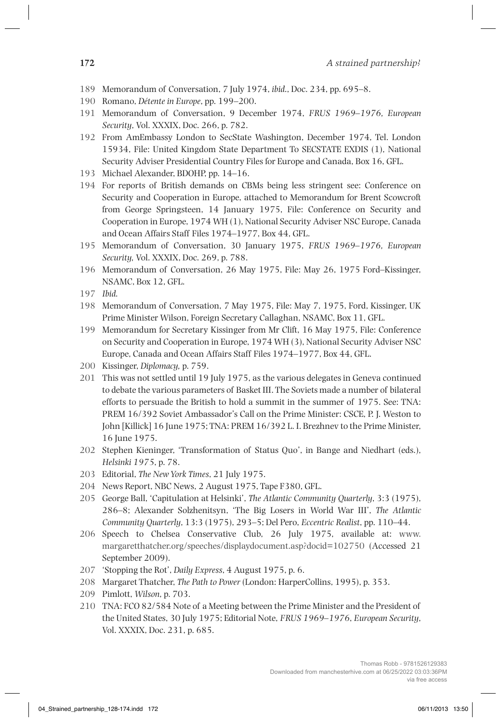- 189 Memorandum of Conversation, 7 July 1974, *ibid*., Doc. 234, pp. 695–8.
- 190 Romano, *Détente in Europe*, pp. 199–200.
- 191 Memorandum of Conversation, 9 December 1974, *FRUS 1969–1976, European Security*, Vol. XXXIX, Doc. 266, p. 782.
- 192 From AmEmbassy London to SecState Washington, December 1974, Tel. London 15934, File: United Kingdom State Department To SECSTATE EXDIS (1), National Security Adviser Presidential Country Files for Europe and Canada, Box 16, GFL.
- 193 Michael Alexander, BDOHP, pp. 14–16.
- 194 For reports of British demands on CBMs being less stringent see: Conference on Security and Cooperation in Europe, attached to Memorandum for Brent Scowcroft from George Springsteen, 14 January 1975, File: Conference on Security and Cooperation in Europe, 1974 WH (1), National Security Adviser NSC Europe, Canada and Ocean Affairs Staff Files 1974–1977, Box 44, GFL.
- 195 Memorandum of Conversation, 30 January 1975, *FRUS 1969–1976, European Security,* Vol. XXXIX, Doc. 269, p. 788.
- 196 Memorandum of Conversation, 26 May 1975, File: May 26, 1975 Ford–Kissinger, NSAMC, Box 12, GFL.
- 197 *Ibid*.
- 198 Memorandum of Conversation, 7 May 1975, File: May 7, 1975, Ford, Kissinger, UK Prime Minister Wilson, Foreign Secretary Callaghan, NSAMC, Box 11, GFL.
- 199 Memorandum for Secretary Kissinger from Mr Clift, 16 May 1975, File: Conference on Security and Cooperation in Europe, 1974 WH (3), National Security Adviser NSC Europe, Canada and Ocean Affairs Staff Files 1974–1977, Box 44, GFL.
- 200 Kissinger, *Diplomacy,* p. 759.
- 201 This was not settled until 19 July 1975, as the various delegates in Geneva continued to debate the various parameters of Basket III. The Soviets made a number of bilateral efforts to persuade the British to hold a summit in the summer of 1975. See: TNA: PREM 16/392 Soviet Ambassador's Call on the Prime Minister: CSCE, P. J. Weston to John [Killick] 16 June 1975; TNA: PREM 16/392 L. I. Brezhnev to the Prime Minister, 16 June 1975.
- 202 Stephen Kieninger, 'Transformation of Status Quo', in Bange and Niedhart (eds.), *Helsinki 1975*, p. 78.
- 203 Editorial, *The New York Times*, 21 July 1975.
- 204 News Report, NBC News, 2 August 1975, Tape F380, GFL.
- 205 George Ball, 'Capitulation at Helsinki', *The Atlantic Community Quarterly*, 3:3 (1975), 286–8; Alexander Solzhenitsyn, 'The Big Losers in World War III', *The Atlantic Community Quarterly*, 13:3 (1975), 293–5; Del Pero, *Eccentric Realist*, pp. 110–44.
- 206 Speech to Chelsea Conservative Club, 26 July 1975, available at: www. margaretthatcher.org/speeches/displaydocument.asp?docid=102750 (Accessed 21 September 2009).
- 207 'Stopping the Rot', *Daily Express*, 4 August 1975, p. 6.
- 208 Margaret Thatcher, *The Path to Power* (London: HarperCollins, 1995), p. 353.
- 209 Pimlott, *Wilson*, p. 703.
- 210 TNA: FCO 82/584 Note of a Meeting between the Prime Minister and the President of the United States, 30 July 1975; Editorial Note, *FRUS 1969–1976*, *European Security*, Vol. XXXIX, Doc. 231, p. 685.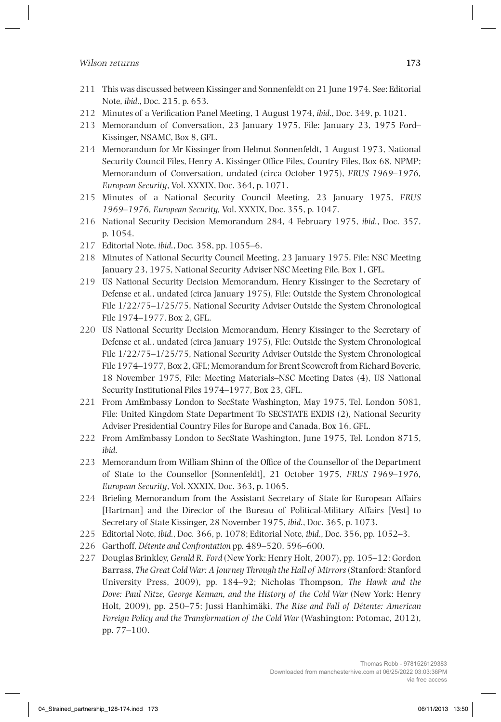- 211 This was discussed between Kissinger and Sonnenfeldt on 21 June 1974. See: Editorial Note, *ibid*., Doc. 215, p. 653.
- 212 Minutes of a Verification Panel Meeting, 1 August 1974, *ibid*., Doc. 349, p. 1021.
- 213 Memorandum of Conversation, 23 January 1975, File: January 23, 1975 Ford– Kissinger, NSAMC, Box 8, GFL.
- 214 Memorandum for Mr Kissinger from Helmut Sonnenfeldt, 1 August 1973, National Security Council Files, Henry A. Kissinger Office Files, Country Files, Box 68, NPMP; Memorandum of Conversation, undated (circa October 1975), *FRUS 1969–1976, European Security*, Vol. XXXIX, Doc. 364, p. 1071.
- 215 Minutes of a National Security Council Meeting, 23 January 1975, *FRUS 1969–1976, European Security,* Vol. XXXIX, Doc. 355, p. 1047.
- 216 National Security Decision Memorandum 284, 4 February 1975, *ibid*., Doc. 357, p. 1054.
- 217 Editorial Note, *ibid*., Doc. 358, pp. 1055–6.
- 218 Minutes of National Security Council Meeting, 23 January 1975, File: NSC Meeting January 23, 1975, National Security Adviser NSC Meeting File, Box 1, GFL.
- 219 US National Security Decision Memorandum, Henry Kissinger to the Secretary of Defense et al., undated (circa January 1975), File: Outside the System Chronological File 1/22/75–1/25/75, National Security Adviser Outside the System Chronological File 1974–1977, Box 2, GFL.
- 220 US National Security Decision Memorandum, Henry Kissinger to the Secretary of Defense et al., undated (circa January 1975), File: Outside the System Chronological File 1/22/75–1/25/75, National Security Adviser Outside the System Chronological File 1974–1977, Box 2, GFL; Memorandum for Brent Scowcroft from Richard Boverie, 18 November 1975, File: Meeting Materials–NSC Meeting Dates (4), US National Security Institutional Files 1974–1977, Box 23, GFL.
- 221 From AmEmbassy London to SecState Washington, May 1975, Tel. London 5081, File: United Kingdom State Department To SECSTATE EXDIS (2), National Security Adviser Presidential Country Files for Europe and Canada, Box 16, GFL.
- 222 From AmEmbassy London to SecState Washington, June 1975, Tel. London 8715, *ibid*.
- 223 Memorandum from William Shinn of the Office of the Counsellor of the Department of State to the Counsellor [Sonnenfeldt], 21 October 1975, *FRUS 1969–1976, European Security*, Vol. XXXIX, Doc. 363, p. 1065.
- 224 Briefing Memorandum from the Assistant Secretary of State for European Affairs [Hartman] and the Director of the Bureau of Political-Military Affairs [Vest] to Secretary of State Kissinger, 28 November 1975, *ibid*., Doc. 365, p. 1073.
- 225 Editorial Note, *ibid*., Doc. 366, p. 1078; Editorial Note, *ibid*., Doc. 356, pp. 1052–3.
- 226 Garthoff, *Détente and Confrontation* pp. 489–520, 596–600.
- 227 Douglas Brinkley, *Gerald R. Ford* (New York: Henry Holt, 2007), pp. 105–12; Gordon Barrass, *The Great Cold War: A Journey Through the Hall of Mirrors* (Stanford: Stanford University Press, 2009), pp. 184–92; Nicholas Thompson, *The Hawk and the Dove: Paul Nitze, George Kennan, and the History of the Cold War* (New York: Henry Holt, 2009), pp. 250–75; Jussi Hanhimäki, *The Rise and Fall of Détente: American Foreign Policy and the Transformation of the Cold War* (Washington: Potomac, 2012), pp. 77–100.